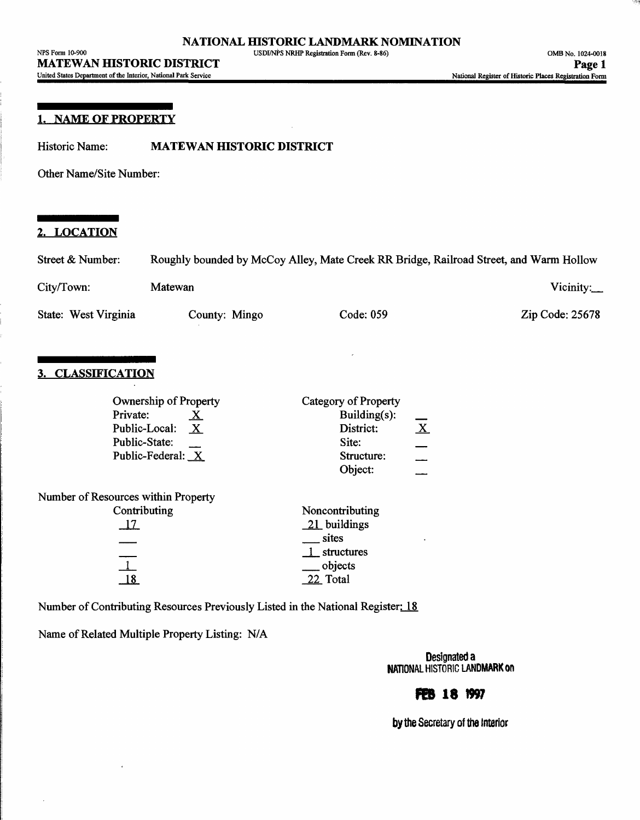| NPS Form 10-900                                                        | USDI/NPS NRHP Registration Form (Rev. 8-86) | OMB No. 1024-0018                                       |
|------------------------------------------------------------------------|---------------------------------------------|---------------------------------------------------------|
| <b>MATEWAN HISTORIC DISTRICT</b>                                       |                                             | Page 1                                                  |
| <b>Linited States Department of the Interior National Park Service</b> |                                             | Metional Decision of Historic Planes Decisiontion Count |

#### **1. NAME OF PROPERTY**

Historic Name: **MATEWAN HISTORIC DISTRICT**

Other Name/Site Number:

## **2. LOCATION**

| Street & Number:     | Roughly bounded by McCoy Alley, Mate Creek RR Bridge, Railroad Street, and Warm Hollow |           |                           |  |
|----------------------|----------------------------------------------------------------------------------------|-----------|---------------------------|--|
| City/Town:           | <b>Matewan</b>                                                                         |           | Vicinity: $\qquad \qquad$ |  |
| State: West Virginia | County: Mingo                                                                          | Code: 059 | Zip Code: 25678           |  |

## **3. CLASSIFICATION**

| Ownership of Property               | Category of Property      |
|-------------------------------------|---------------------------|
| Private:<br><u>x</u>                | Building $(s)$ :          |
| Public-Local:<br>$\mathbf{X}$       | $\mathbf{X}$<br>District: |
| Public-State:                       | Site:                     |
| Public-Federal: X                   | Structure:                |
|                                     | Object:                   |
| Number of Resources within Property |                           |
| Contributing                        | Noncontributing           |
| <u>17</u>                           | $21$ buildings            |
|                                     | sites                     |
|                                     | 1 structures              |
|                                     | __ objects                |
| 18                                  | 22 Total                  |
|                                     |                           |

Number of Contributing Resources Previously Listed in the National Register: 18

Name of Related Multiple Property Listing: N/A

Designated a NATIONAL HISTORIC LANDMARK ON

## **FEB 18 1997**

by the Secretary of the Interior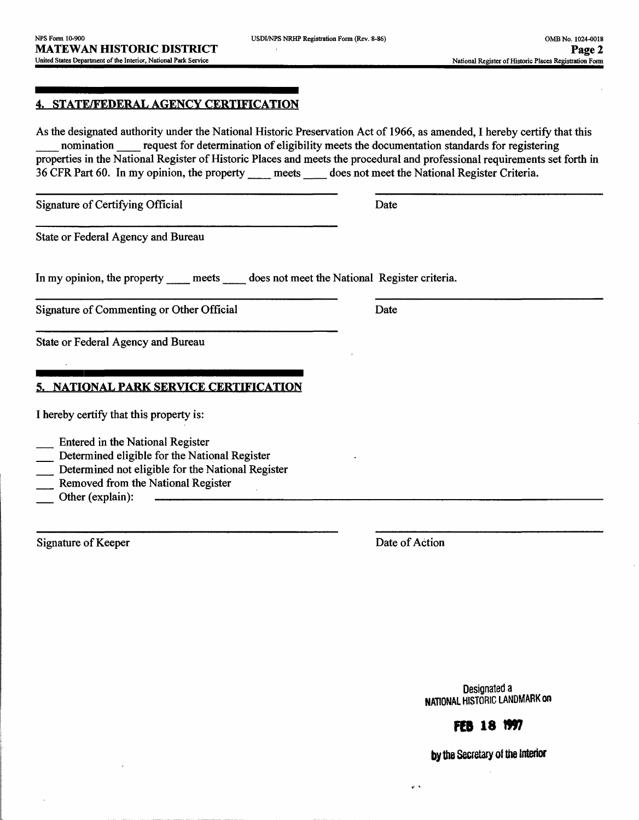## **4. STATE/FEDERAL AGENCY CERTIFICATION**

As the designated authority under the National Historic Preservation Act of 1966, as amended, I hereby certify that this nomination request for determination of eligibility meets the documentation standards for registering properties in the National Register of Historic Places and meets the procedural and professional requirements set forth in 36 CFR Part 60. In my opinion, the property \_\_ meets \_\_ does not meet the National Register Criteria.

Signature of Certifying Official Date

State or Federal Agency and Bureau

In my opinion, the property meets does not meet the National Register criteria.

Signature of Commenting or Other Official Date

State or Federal Agency and Bureau

## **5. NATIONAL PARK SERVICE CERTIFICATION**

| I hereby certify that this property is: |  |  |  |  |  |  |
|-----------------------------------------|--|--|--|--|--|--|
|-----------------------------------------|--|--|--|--|--|--|

- \_\_ Entered in the National Register
- Determined eligible for the National Register
- Determined not eligible for the National Register
- Removed from the National Register
- Other (explain):

Signature of Keeper Date of Action

 $\sim$   $\sim$ 

Designated a NATIONAL HISTORIC LANDMARK **on**

# **FEB 18 1997**

by the Secretary of the interior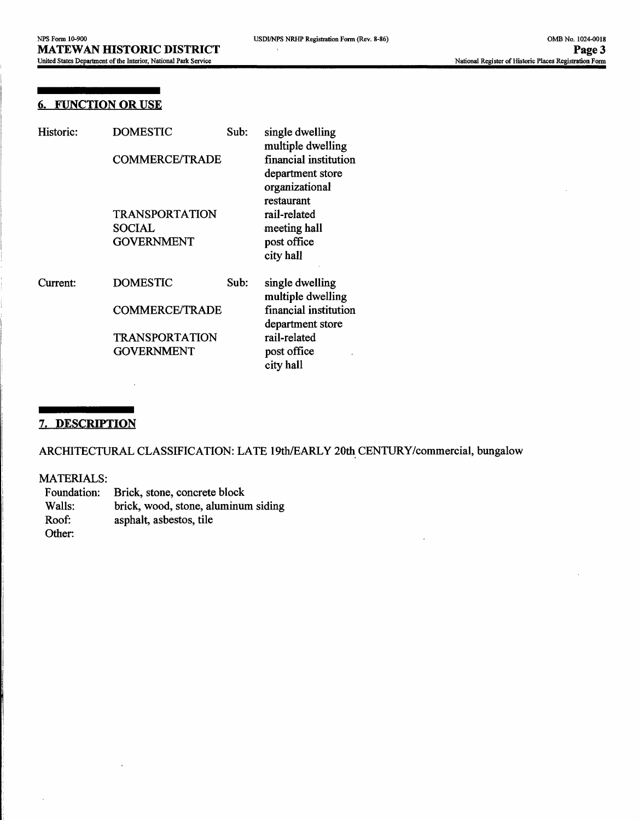#### **6. FUNCTION OR USE**

| Historic: | DOMESTIC<br>Sub:<br><b>COMMERCE/TRADE</b><br><b>TRANSPORTATION</b><br>SOCIAL<br><b>GOVERNMENT</b> |      | single dwelling<br>multiple dwelling<br>financial institution<br>department store<br>organizational<br>restaurant |  |
|-----------|---------------------------------------------------------------------------------------------------|------|-------------------------------------------------------------------------------------------------------------------|--|
|           |                                                                                                   |      | rail-related<br>meeting hall<br>post office<br>city hall                                                          |  |
| Current:  | <b>DOMESTIC</b>                                                                                   | Sub: | single dwelling<br>multiple dwelling                                                                              |  |
|           | <b>COMMERCE/TRADE</b>                                                                             |      | financial institution<br>department store                                                                         |  |
|           | <b>TRANSPORTATION</b><br><b>GOVERNMENT</b>                                                        |      | rail-related<br>post office<br>city hall                                                                          |  |

## **7. DESCRIPTION**

ARCHITECTURAL CLASSIFICATION: LATE 19th/EARLY 20th CENTURY/commercial, bungalow

#### MATERIALS:

| Foundation: | Brick, stone, concrete block        |
|-------------|-------------------------------------|
| Walls:      | brick, wood, stone, aluminum siding |
| Roof:       | asphalt, asbestos, tile             |
| Other:      |                                     |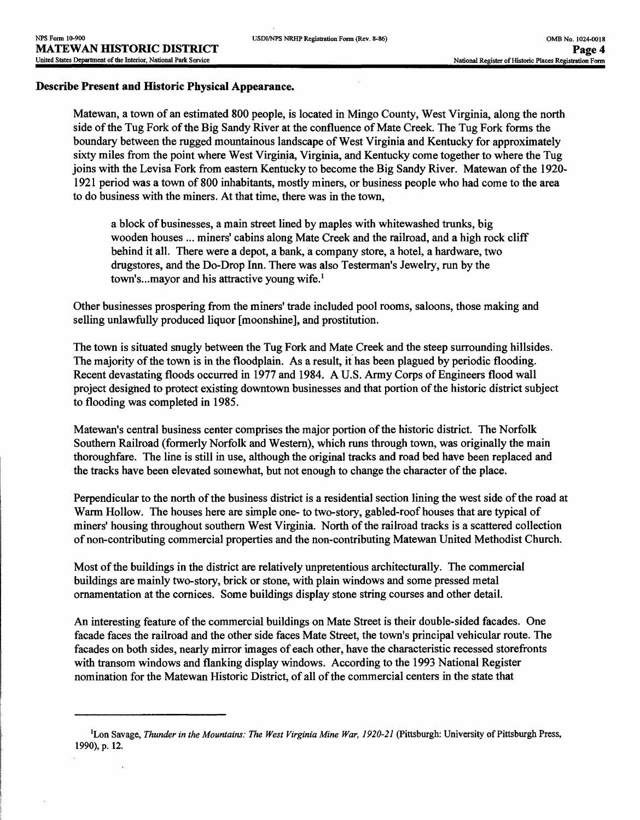#### **Describe Present and Historic Physical Appearance.**

Matewan, a town of an estimated 800 people, is located in Mingo County, West Virginia, along the north side of the Tug Fork of the Big Sandy River at the confluence of Mate Creek. The Tug Fork forms the boundary between the rugged mountainous landscape of West Virginia and Kentucky for approximately sixty miles from the point where West Virginia, Virginia, and Kentucky come together to where the Tug joins with the Levisa Fork from eastern Kentucky to become the Big Sandy River. Matewan of the 1920- 1921 period was a town of 800 inhabitants, mostly miners, or business people who had come to the area to do business with the miners. At that time, there was in the town,

a block of businesses, a main street lined by maples with whitewashed trunks, big wooden houses ... miners' cabins along Mate Creek and the railroad, and a high rock cliff behind it all. There were a depot, a bank, a company store, a hotel, a hardware, two drugstores, and the Do-Drop Inn. There was also Testerman's Jewelry, run by the town's...mayor and his attractive young wife.<sup>1</sup>

Other businesses prospering from the miners' trade included pool rooms, saloons, those making and selling unlawfully produced liquor [moonshine], and prostitution.

The town is situated snugly between the Tug Fork and Mate Creek and the steep surrounding hillsides. The majority of the town is in the floodplain. As a result, it has been plagued by periodic flooding. Recent devastating floods occurred in 1977 and 1984. A U.S. Army Corps of Engineers flood wall project designed to protect existing downtown businesses and that portion of the historic district subject to flooding was completed in 1985.

Matewan's central business center comprises the major portion of the historic district. The Norfolk Southern Railroad (formerly Norfolk and Western), which runs through town, was originally the main thoroughfare. The line is still in use, although the original tracks and road bed have been replaced and the tracks have been elevated somewhat, but not enough to change the character of the place.

Perpendicular to the north of the business district is a residential section lining the west side of the road at Warm Hollow. The houses here are simple one- to two-story, gabled-roof houses that are typical of miners' housing throughout southern West Virginia. North of the railroad tracks is a scattered collection of non-contributing commercial properties and the non-contributing Matewan United Methodist Church.

Most of the buildings in the district are relatively unpretentious architecturally. The commercial buildings are mainly two-story, brick or stone, with plain windows and some pressed metal ornamentation at the cornices. Some buildings display stone string courses and other detail.

An interesting feature of the commercial buildings on Mate Street is their double-sided facades. One facade faces the railroad and the other side faces Mate Street, the town's principal vehicular route. The facades on both sides, nearly mirror images of each other, have the characteristic recessed storefronts with transom windows and flanking display windows. According to the 1993 National Register nomination for the Matewan Historic District, of all of the commercial centers in the state that

<sup>&</sup>lt;sup>1</sup>Lon Savage, *Thunder in the Mountains: The West Virginia Mine War*, 1920-21 (Pittsburgh: University of Pittsburgh Press, 1990), p. 12.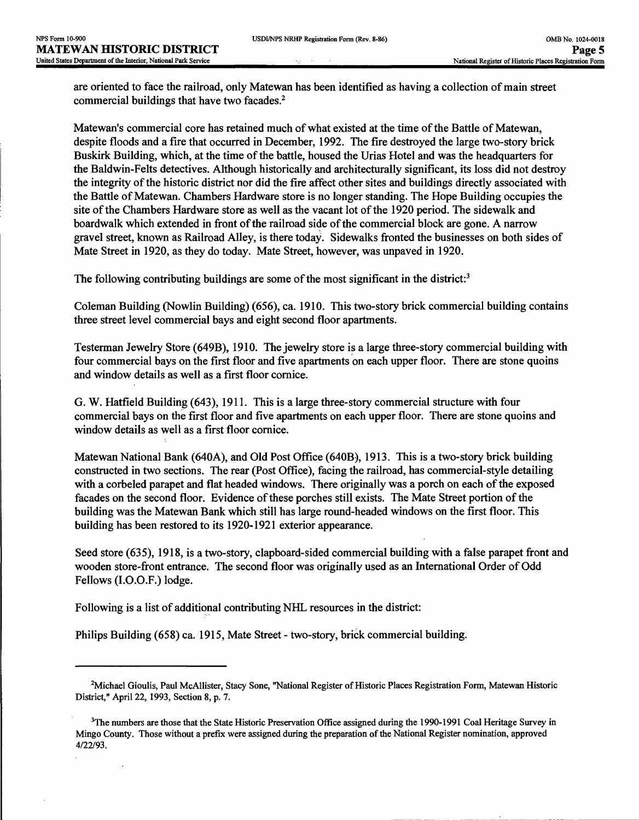J.

are oriented to face the railroad, only Matewan has been identified as having a collection of main street commercial buildings that have two facades.<sup>2</sup>

Matewan's commercial core has retained much of what existed at the time of the Battle of Matewan, despite floods and a fire that occurred in December, 1992. The fire destroyed the large two-story brick Buskirk Building, which, at the time of the battle, housed the Urias Hotel and was the headquarters for the Baldwin-Felts detectives. Although historically and architecturally significant, its loss did not destroy the integrity of the historic district nor did the fire affect other sites and buildings directly associated with the Battle of Matewan. Chambers Hardware store is no longer standing. The Hope Building occupies the site of the Chambers Hardware store as well as the vacant lot of the 1920 period. The sidewalk and boardwalk which extended in front of the railroad side of the commercial block are gone. A narrow gravel street, known as Railroad Alley, is there today. Sidewalks fronted the businesses on both sides of Mate Street in 1920, as they do today. Mate Street, however, was unpaved in 1920.

The following contributing buildings are some of the most significant in the district:<sup>3</sup>

Coleman Building (Nowlin Building) (656), ca. 1910. This two-story brick commercial building contains three street level commercial bays and eight second floor apartments.

Testerman Jewelry Store (649B), 1910. The jewelry store is a large three-story commercial building with four commercial bays on the first floor and five apartments on each upper floor. There are stone quoins and window details as well as a first floor cornice.

G. W. Hatfield Building (643), 1911. This is a large three-story commercial structure with four commercial bays on the first floor and five apartments on each upper floor. There are stone quoins and window details as well as a first floor cornice.

Matewan National Bank (640A), and Old Post Office (640B), 1913. This is a two-story brick building constructed in two sections. The rear (Post Office), facing the railroad, has commercial-style detailing with a corbeled parapet and flat headed windows. There originally was a porch on each of the exposed facades on the second floor. Evidence of these porches still exists. The Mate Street portion of the building was the Matewan Bank which still has large round-headed windows on the first floor. This building has been restored to its 1920-1921 exterior appearance.

Seed store (635), 1918, is a two-story, clapboard-sided commercial building with a false parapet front and wooden store-front entrance. The second floor was originally used as an International Order of Odd Fellows (I.O.O.F.) lodge.

Following is a list of additional contributing NHL resources in the district:

Philips Building (658) ca. 1915, Mate Street - two-story, brick commercial building.

<sup>&</sup>lt;sup>2</sup>Michael Gioulis, Paul McAllister, Stacy Sone, "National Register of Historic Places Registration Form, Matewan Historic District," April 22,1993, Section 8, p. 7.

<sup>&</sup>lt;sup>3</sup>The numbers are those that the State Historic Preservation Office assigned during the 1990-1991 Coal Heritage Survey in Mingo County. Those without a prefix were assigned during the preparation of the National Register nomination, approved 4/22/93.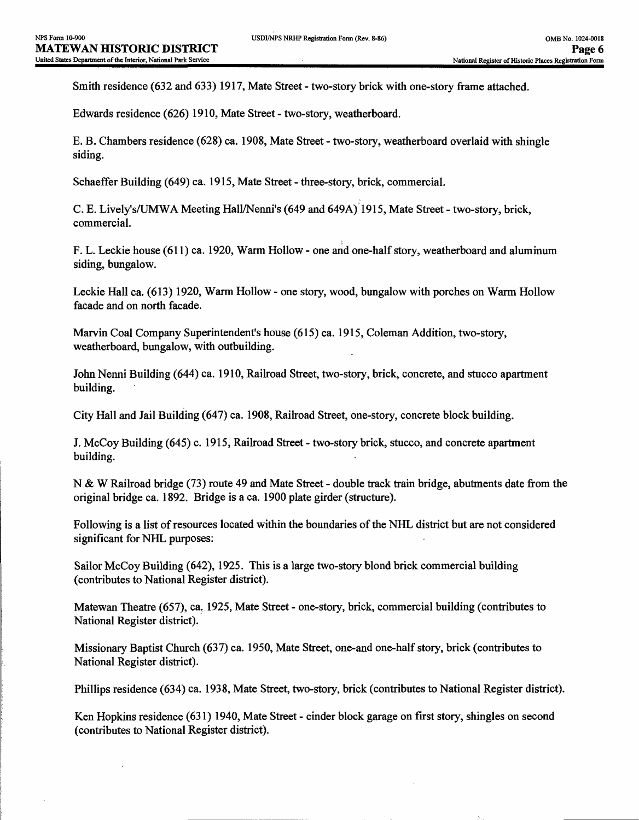Smith residence (632 and 633) 1917, Mate Street - two-story brick with one-story frame attached.

Edwards residence (626) 1910, Mate Street - two-story, weatherboard.

E. B. Chambers residence (628) ca. 1908, Mate Street - two-story, weatherboard overlaid with shingle siding.

Schaeffer Building (649) ca. 1915, Mate Street - three-story, brick, commercial.

C. E. Lively's/UMWA Meeting Hall/Nenni's (649 and 649A) 1915, Mate Street - two-story, brick, commercial.

F. L. Leckie house (611) ca. 1920, Warm Hollow - one and one-half story, weatherboard and aluminum siding, bungalow.

Leckie Hall ca. (613) 1920, Warm Hollow - one story, wood, bungalow with porches on Warm Hollow facade and on north facade.

Marvin Coal Company Superintendent's house (615) ca. 1915, Coleman Addition, two-story, weatherboard, bungalow, with outbuilding.

John Nenni Building (644) ca. 1910, Railroad Street, two-story, brick, concrete, and stucco apartment building.

City Hall and Jail Building (647) ca. 1908, Railroad Street, one-story, concrete block building.

J. McCoy Building (645) c. 1915, Railroad Street - two-story brick, stucco, and concrete apartment building.

N & W Railroad bridge (73) route 49 and Mate Street - double track train bridge, abutments date from the original bridge ca. 1892. Bridge is a ca. 1900 plate girder (structure).

Following is a list of resources located within the boundaries of the NHL district but are not considered significant for NHL purposes:

Sailor McCoy Building (642), 1925. This is a large two-story blond brick commercial building (contributes to National Register district).

Matewan Theatre (657), ca, 1925, Mate Street - one-story, brick, commercial building (contributes to National Register district).

Missionary Baptist Church (637) ca. 1950, Mate Street, one-and one-half story, brick (contributes to National Register district).

Phillips residence (634) ca. 1938, Mate Street, two-story, brick (contributes to National Register district).

Ken Hopkins residence (631) 1940, Mate Street - cinder block garage on first story, shingles on second (contributes to National Register district).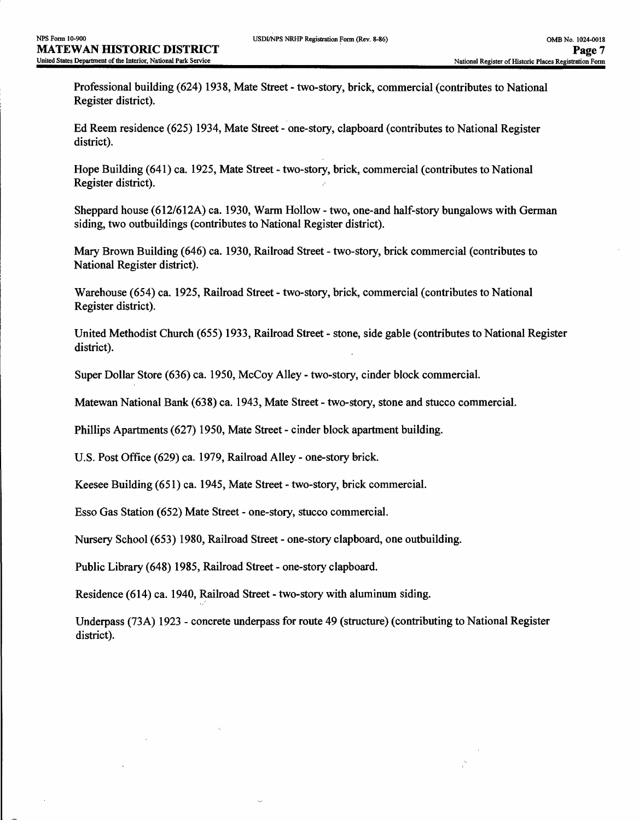Professional building (624) 1938, Mate Street - two-story, brick, commercial (contributes to National Register district).

Ed Reem residence (625) 1934, Mate Street - one-story, clapboard (contributes to National Register district).

Hope Building (641) ca. 1925, Mate Street - two-story, brick, commercial (contributes to National Register district).

Sheppard house (612/612A) ca. 1930, Warm Hollow - two, one-and half-story bungalows with German siding, two outbuildings (contributes to National Register district).

Mary Brown Building (646) ca. 1930, Railroad Street - two-story, brick commercial (contributes to National Register district).

Warehouse (654) ca. 1925, Railroad Street - two-story, brick, commercial (contributes to National Register district).

United Methodist Church (655) 1933, Railroad Street - stone, side gable (contributes to National Register district).

Super Dollar Store (636) ca. 1950, McCoy Alley - two-story, cinder block commercial.

Matewan National Bank (638) ca. 1943, Mate Street - two-story, stone and stucco commercial.

Phillips Apartments (627) 1950, Mate Street - cinder block apartment building.

U.S. Post Office (629) ca. 1979, Railroad Alley - one-story brick.

Keesee Building (651) ca. 1945, Mate Street - two-story, brick commercial.

Esso Gas Station (652) Mate Street - one-story, stucco commercial.

Nursery School (653) 1980, Railroad Street - one-story clapboard, one outbuilding.

Public Library (648) 1985, Railroad Street - one-story clapboard.

Residence (614) ca. 1940, Railroad Street - two-story with aluminum siding.

Underpass (73A) 1923 - concrete underpass for route 49 (structure) (contributing to National Register district).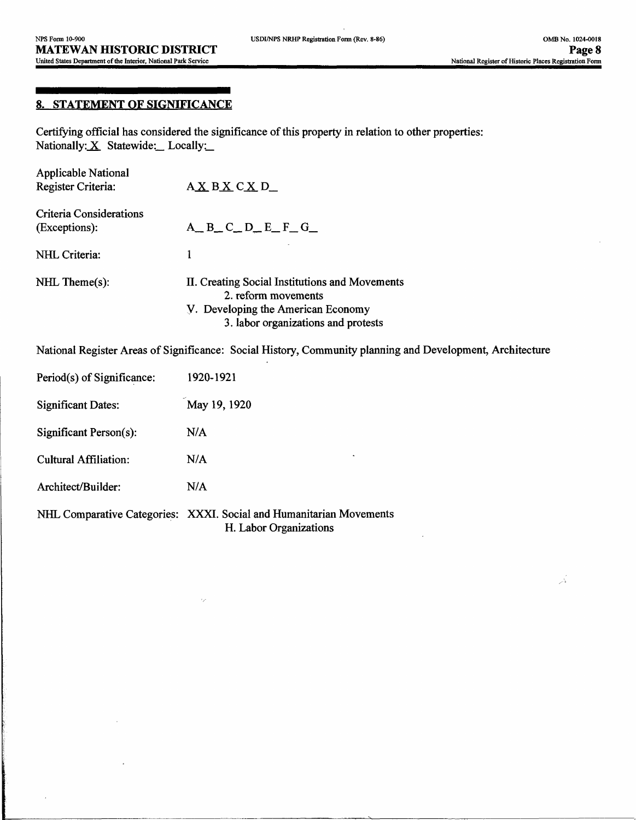$\overrightarrow{\lambda}$ 

## **8. STATEMENT OF SIGNIFICANCE**

Certifying official has considered the significance of this property in relation to other properties: Nationally: X Statewide: Locally:

| Applicable National<br>Register Criteria: | AXBXCXD                                                                                                                                            |
|-------------------------------------------|----------------------------------------------------------------------------------------------------------------------------------------------------|
| Criteria Considerations<br>(Exceptions):  | $A$ <sub>m</sub> $B$ <sub>m</sub> $C$ <sub>m</sub> $D$ <sub>m</sub> $E$ <sub>m</sub> $F$ <sub>m</sub> $G$ <sub>m</sub>                             |
| NHL Criteria:                             | 1                                                                                                                                                  |
| $NHL$ Theme $(s)$ :                       | II. Creating Social Institutions and Movements<br>2. reform movements<br>V. Developing the American Economy<br>3. labor organizations and protests |

National Register Areas of Significance: Social History, Community planning and Development, Architecture

| Period(s) of Significance:   | 1920-1921                                                           |
|------------------------------|---------------------------------------------------------------------|
| <b>Significant Dates:</b>    | May 19, 1920                                                        |
| $Significant Person(s)$ :    | N/A                                                                 |
| <b>Cultural Affiliation:</b> | ٠<br>N/A                                                            |
| Architect/Builder:           | N/A                                                                 |
|                              | NHL Comparative Categories: XXXI. Social and Humanitarian Movements |

H. Labor Organizations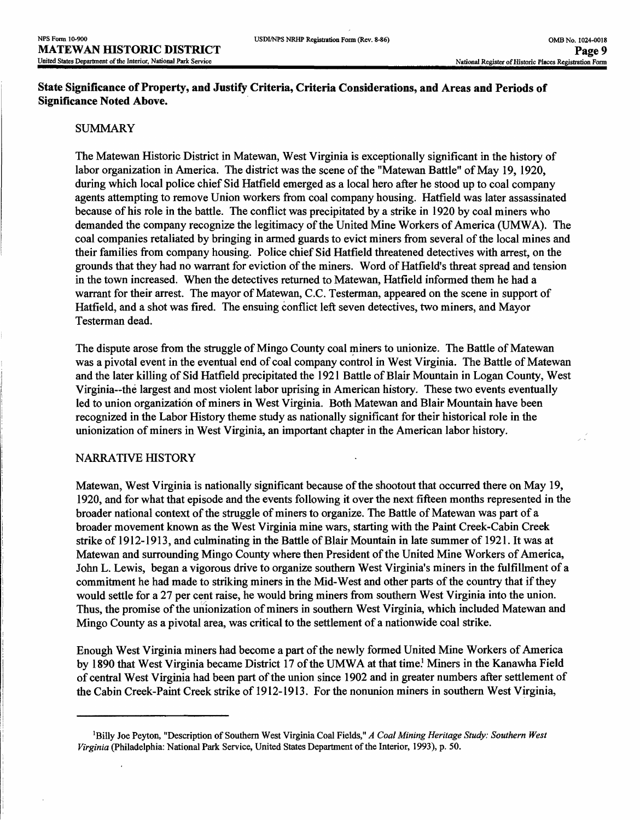## **State Significance of Property, and Justify Criteria, Criteria Considerations, and Areas and Periods of Significance Noted Above.**

#### SUMMARY

The Matewan Historic District in Matewan, West Virginia is exceptionally significant in the history of labor organization in America. The district was the scene of the "Matewan Battle" of May 19, 1920, during which local police chief Sid Hatfield emerged as a local hero after he stood up to coal company agents attempting to remove Union workers from coal company housing. Hatfield was later assassinated because of his role in the battle. The conflict was precipitated by a strike in 1920 by coal miners who demanded the company recognize the legitimacy of the United Mine Workers of America (UMWA). The coal companies retaliated by bringing in armed guards to evict miners from several of the local mines and their families from company housing. Police chief Sid Hatfield threatened detectives with arrest, on the grounds that they had no warrant for eviction of the miners. Word of Hatfield's threat spread and tension in the town increased. When the detectives returned to Matewan, Hatfield informed them he had a warrant for their arrest. The mayor of Matewan, C.C. Testerman, appeared on the scene in support of Hatfield, and a shot was fired. The ensuing conflict left seven detectives, two miners, and Mayor Testerman dead.

The dispute arose from the struggle of Mingo County coal miners to unionize. The Battle of Matewan was a pivotal event in the eventual end of coal company control in West Virginia. The Battle of Matewan and the later killing of Sid Hatfield precipitated the 1921 Battle of Blair Mountain in Logan County, West Virginia—the largest and most violent labor uprising in American history. These two events eventually led to union organization of miners in West Virginia. Both Matewan and Blair Mountain have been recognized in the Labor History theme study as nationally significant for their historical role in the unionization of miners in West Virginia, an important chapter in the American labor history.

#### NARRATIVE HISTORY

Matewan, West Virginia is nationally significant because of the shootout that occurred there on May 19, 1920, and for what that episode and the events following it over the next fifteen months represented in the broader national context of the struggle of miners to organize. The Battle of Matewan was part of a broader movement known as the West Virginia mine wars, starting with the Paint Creek-Cabin Creek strike of 1912-1913, and culminating in the Battle of Blair Mountain in late summer of 1921. It was at Matewan and surrounding Mingo County where then President of the United Mine Workers of America, John L. Lewis, began a vigorous drive to organize southern West Virginia's miners in the fulfillment of a commitment he had made to striking miners in the Mid-West and other parts of the country that if they would settle for a 27 per cent raise, he would bring miners from southern West Virginia into the union. Thus, the promise of the unionization of miners in southern West Virginia, which included Matewan and Mingo County as a pivotal area, was critical to the settlement of a nationwide coal strike.

Enough West Virginia miners had become a part of the newly formed United Mine Workers of America by 1890 that West Virginia became District 17 of the UMWA at that time.<sup>1</sup> Miners in the Kanawha Field of central West Virginia had been part of the union since 1902 and in greater numbers after settlement of the Cabin Creek-Paint Creek strike of 1912-1913. For the nonunion miners in southern West Virginia,

<sup>&</sup>lt;sup>1</sup>Billy Joe Peyton, "Description of Southern West Virginia Coal Fields," *A Coal Mining Heritage Study: Southern West Virginia* (Philadelphia: National Park Service, United States Department of the Interior, 1993), p. 50.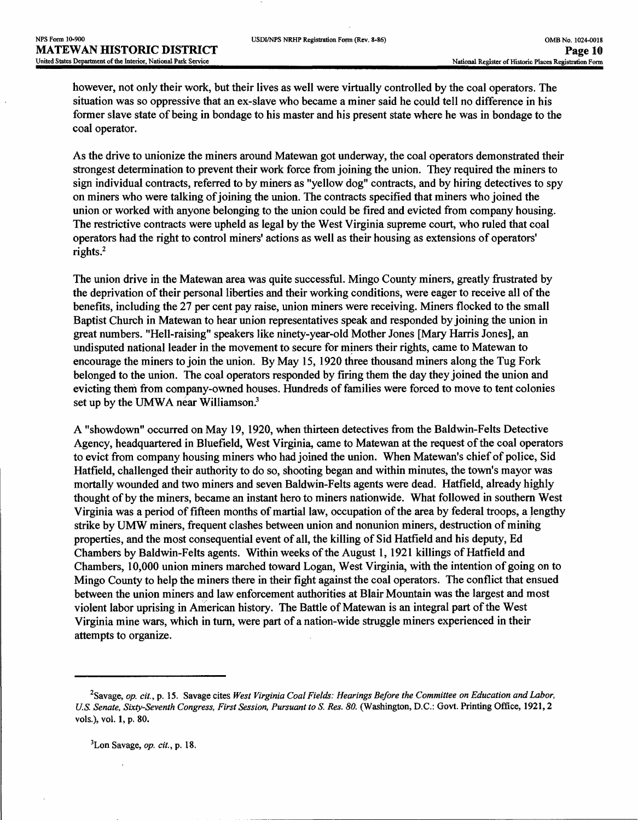however, not only their work, but their lives as well were virtually controlled by the coal operators. The situation was so oppressive that an ex-slave who became a miner said he could tell no difference in his former slave state of being in bondage to his master and his present state where he was in bondage to the coal operator.

As the drive to unionize the miners around Matewan got underway, the coal operators demonstrated their strongest determination to prevent their work force from joining the union. They required the miners to sign individual contracts, referred to by miners as "yellow dog" contracts, and by hiring detectives to spy on miners who were talking of joining the union. The contracts specified that miners who joined the union or worked with anyone belonging to the union could be fired and evicted from company housing. The restrictive contracts were upheld as legal by the West Virginia supreme court, who ruled that coal operators had the right to control miners' actions as well as their housing as extensions of operators' rights.2

The union drive in the Matewan area was quite successful. Mingo County miners, greatly frustrated by the deprivation of their personal liberties and their working conditions, were eager to receive all of the benefits, including the 27 per cent pay raise, union miners were receiving. Miners flocked to the small Baptist Church in Matewan to hear union representatives speak and responded by joining the union in great numbers. "Hell-raising" speakers like ninety-year-old Mother Jones [Mary Harris Jones], an undisputed national leader in the movement to secure for miners their rights, came to Matewan to encourage the miners to join the union. By May 15, 1920 three thousand miners along the Tug Fork belonged to the union. The coal operators responded by firing them the day they joined the union and evicting them from company-owned houses. Hundreds of families were forced to move to tent colonies set up by the UMWA near Williamson.<sup>3</sup>

A "showdown" occurred on May 19, 1920, when thirteen detectives from the Baldwin-Felts Detective Agency, headquartered in Bluefield, West Virginia, came to Matewan at the request of the coal operators to evict from company housing miners who had joined the union. When Matewan's chief of police, Sid Hatfield, challenged their authority to do so, shooting began and within minutes, the town's mayor was mortally wounded and two miners and seven Baldwin-Felts agents were dead. Hatfield, already highly thought of by the miners, became an instant hero to miners nationwide. What followed in southern West Virginia was a period of fifteen months of martial law, occupation of the area by federal troops, a lengthy strike by UMW miners, frequent clashes between union and nonunion miners, destruction of mining properties, and the most consequential event of all, the killing of Sid Hatfield and his deputy, Ed Chambers by Baldwin-Felts agents. Within weeks of the August 1,1921 killings of Hatfield and Chambers, 10,000 union miners marched toward Logan, West Virginia, with the intention of going on to Mingo County to help the miners there in their fight against the coal operators. The conflict that ensued between the union miners and law enforcement authorities at Blair Mountain was the largest and most violent labor uprising in American history. The Battle of Matewan is an integral part of the West Virginia mine wars, which in turn, were part of a nation-wide struggle miners experienced in their attempts to organize.

3Lon Savage, *op. cit.,* p. 18.

<sup>2</sup>Savage, *op. cit.,* p. 15. Savage cites *West Virginia Coal Fields: Hearings Before the Committee on Education and Labor,*  U.S. Senate, Sixty-Seventh Congress, First Session, Pursuant to S. Res. 80. (Washington, D.C.: Govt. Printing Office, 1921, 2 vols.), vol. 1, p. 80.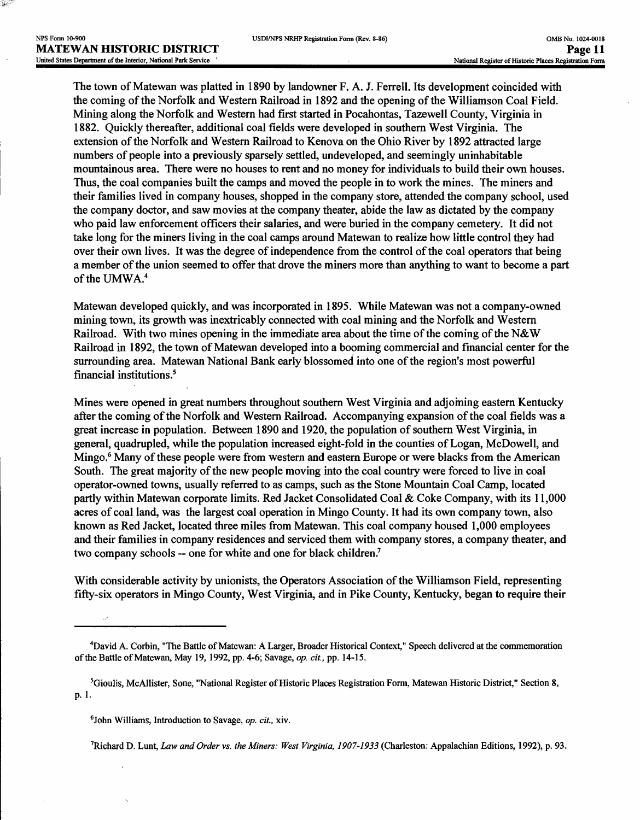The town of Matewan was platted in 1890 by landowner F. A. J. Ferrell. Its development coincided with the coming of the Norfolk and Western Railroad in 1892 and the opening of the Williamson Coal Field. Mining along the Norfolk and Western had first started in Pocahontas, Tazewell County, Virginia in 1882. Quickly thereafter, additional coal fields were developed in southern West Virginia. The extension of the Norfolk and Western Railroad to Kenova on the Ohio River by 1892 attracted large numbers of people into a previously sparsely settled, undeveloped, and seemingly uninhabitable mountainous area. There were no houses to rent and no money for individuals to build their own houses. Thus, the coal companies built the camps and moved the people in to work the mines. The miners and their families lived in company houses, shopped in the company store, attended the company school, used the company doctor, and saw movies at the company theater, abide the law as dictated by the company who paid law enforcement officers their salaries, and were buried in the company cemetery. It did not take long for the miners living in the coal camps around Matewan to realize how little control they had over their own lives. It was the degree of independence from the control of the coal operators that being a member of the union seemed to offer that drove the miners more than anything to want to become a part of the UMWA.<sup>4</sup>

Matewan developed quickly, and was incorporated in 1895. While Matewan was not a company-owned mining town, its growth was inextricably connected with coal mining and the Norfolk and Western Railroad. With two mines opening in the immediate area about the time of the coming of the N&W Railroad in 1892, the town of Matewan developed into a booming commercial and financial center for the surrounding area. Matewan National Bank early blossomed into one of the region's most powerful financial institutions.5

Mines were opened in great numbers throughout southern West Virginia and adjoining eastern Kentucky after the coming of the Norfolk and Western Railroad. Accompanying expansion of the coal fields was a great increase in population. Between 1890 and 1920, the population of southern West Virginia, in general, quadrupled, while the population increased eight-fold in the counties of Logan, McDowell, and Mingo.<sup>6</sup> Many of these people were from western and eastern Europe or were blacks from the American South. The great majority of the new people moving into the coal country were forced to live in coal operator-owned towns, usually referred to as camps, such as the Stone Mountain Coal Camp, located partly within Matewan corporate limits. Red Jacket Consolidated Coal & Coke Company, with its 11,000 acres of coal land, was the largest coal operation in Mingo County. It had its own company town, also known as Red Jacket, located three miles from Matewan. This coal company housed 1,000 employees and their families in company residences and serviced them with company stores, a company theater, and two company schools — one for white and one for black children.7

With considerable activity by unionists, the Operators Association of the Williamson Field, representing fifty-six operators in Mingo County, West Virginia, and in Pike County, Kentucky, began to require their

'Richard D. Lunt, *Law and Order vs. the Miners: West Virginia, 1907-1933* (Charleston: Appalachian Editions, 1992), p. 93.

<sup>4</sup>David A. Corbin, "The Battle of Matewan: A Larger, Broader Historical Context," Speech delivered at the commemoration of the Battle of Matewan, May 19, 1992, pp. 4-6; Savage, *op. cit.,* pp. 14-15,

<sup>5</sup>Gioulis, McAllister, Sone, "National Register of Historic Places Registration Form, Matewan Historic District," Section 8, p. 1.

<sup>6</sup>John Williams, Introduction to Savage, *op. cit.,* xiv.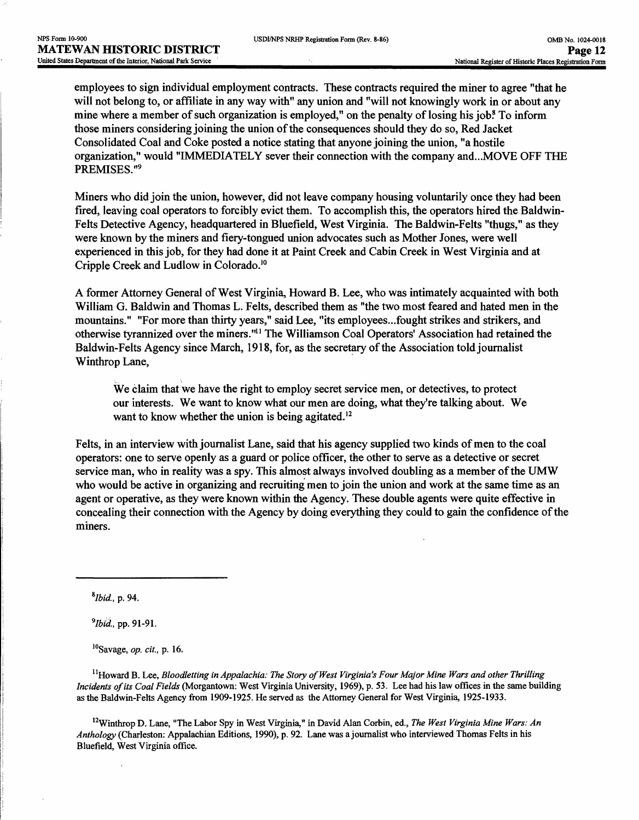employees to sign individual employment contracts. These contracts required the miner to agree "that he will not belong to, or affiliate in any way with" any union and "will not knowingly work in or about any mine where a member of such organization is employed," on the penalty of losing his job? To inform those miners considering joining the union of the consequences should they do so, Red Jacket Consolidated Coal and Coke posted a notice stating that anyone joining the union, "a hostile organization," would "IMMEDIATELY sever their connection with the company and...MOVE OFF THE PREMISES."9

Miners who did join the union, however, did not leave company housing voluntarily once they had been fired, leaving coal operators to forcibly evict them. To accomplish this, the operators hired the Baldwin-Felts Detective Agency, headquartered in Bluefield, West Virginia. The Baldwin-Felts "thugs," as they were known by the miners and fiery-tongued union advocates such as Mother Jones, were well experienced in this job, for they had done it at Paint Creek and Cabin Creek in West Virginia and at Cripple Creek and Ludlow in Colorado.10

A former Attorney General of West Virginia, Howard B. Lee, who was intimately acquainted with both William G. Baldwin and Thomas L. Felts, described them as "the two most feared and hated men in the mountains." "For more than thirty years," said Lee, "its employees...fought strikes and strikers, and otherwise tyrannized over the miners."11 The Williamson Coal Operators' Association had retained the Baldwin-Felts Agency since March, 1918, for, as the secretary of the Association told journalist Winthrop Lane,

We claim that we have the right to employ secret service men, or detectives, to protect our interests. We want to know what our men are doing, what they're talking about. We want to know whether the union is being agitated.<sup>12</sup>

Felts, in an interview with journalist Lane, said that his agency supplied two kinds of men to the coal operators: one to serve openly as a guard or police officer, the other to serve as a detective or secret service man, who in reality was a spy. This almost always involved doubling as a member of the UMW who would be active in organizing and recruiting men to join the union and work at the same time as an agent or operative, as they were known within the Agency. These double agents were quite effective in concealing their connection with the Agency by doing everything they could to gain the confidence of the miners.

*\*Ibid.,* p. 94.

*9Ibi<j.,* pp. 91-91.

10Savage, *op. cit.,* p. 16.

<sup>11</sup>Howard B. Lee, *Bloodletting in Appalachia: The Story of West Virginia's Four Major Mine Wars and other Thrilling Incidents of its Coal Fields* (Morgantown: West Virginia University, 1969), p. 53. Lee had his law offices in the same building as the Baldwin-Felts Agency from 1909-1925. He served as the Attorney General for West Virginia, 1925-1933.

12Winthrop D. Lane, "The Labor Spy in West Virginia," in David Alan Corbin, ed. } *The West Virginia Mine Wars: An Anthology* (Charleston: Appalachian Editions, 1990), p. 92. Lane was a journalist who interviewed Thomas Felts in his Bluefield, West Virginia office.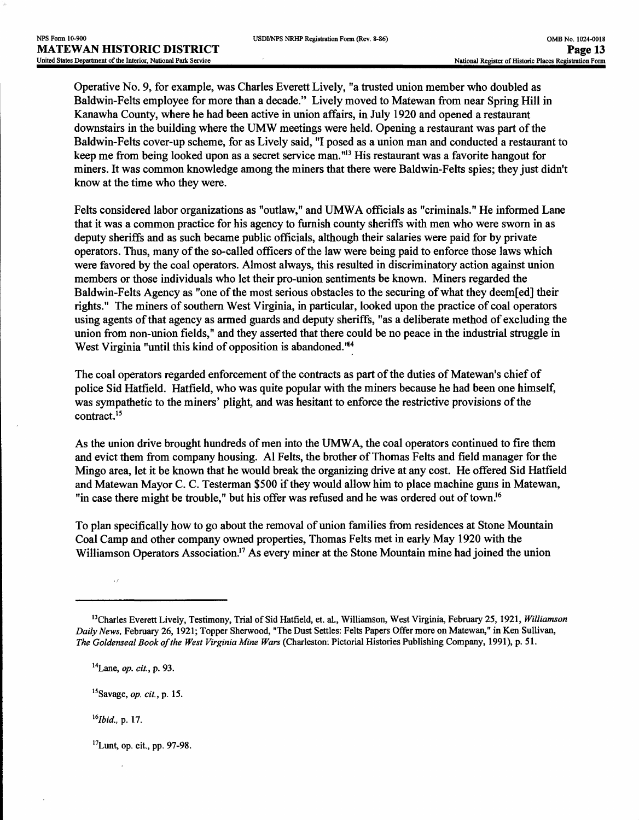Operative No. 9, for example, was Charles Everett Lively, "a trusted union member who doubled as Baldwin-Felts employee for more than a decade." Lively moved to Matewan from near Spring Hill in Kanawha County, where he had been active in union affairs, in July 1920 and opened a restaurant downstairs in the building where the UMW meetings were held. Opening a restaurant was part of the Baldwin-Felts cover-up scheme, for as Lively said, "I posed as a union man and conducted a restaurant to keep me from being looked upon as a secret service man."13 His restaurant was a favorite hangout for miners. It was common knowledge among the miners that there were Baldwin-Felts spies; they just didn't know at the time who they were.

Felts considered labor organizations as "outlaw," and UMWA officials as "criminals." He informed Lane that it was a common practice for his agency to furnish county sheriffs with men who were sworn in as deputy sheriffs and as such became public officials, although their salaries were paid for by private operators. Thus, many of the so-called officers of the law were being paid to enforce those laws which were favored by the coal operators. Almost always, this resulted in discriminatory action against union members or those individuals who let their pro-union sentiments be known. Miners regarded the Baldwin-Felts Agency as "one of the most serious obstacles to the securing of what they deem[ed] their rights." The miners of southern West Virginia, in particular, looked upon the practice of coal operators using agents of that agency as armed guards and deputy sheriffs, "as a deliberate method of excluding the union from non-union fields," and they asserted that there could be no peace in the industrial struggle in West Virginia "until this kind of opposition is abandoned.'14

The coal operators regarded enforcement of the contracts as part of the duties of Matewan's chief of police Sid Hatfield. Hatfield, who was quite popular with the miners because he had been one himself, was sympathetic to the miners' plight, and was hesitant to enforce the restrictive provisions of the contract.<sup>15</sup>

As the union drive brought hundreds of men into the UMWA, the coal operators continued to fire them and evict them from company housing. Al Felts, the brother of Thomas Felts and field manager for the Mingo area, let it be known that he would break the organizing drive at any cost. He offered Sid Hatfield and Matewan Mayor C. C. Testerman \$500 if they would allow him to place machine guns in Matewan, "in case there might be trouble," but his offer was refused and he was ordered out of town.<sup>16</sup>

To plan specifically how to go about the removal of union families from residences at Stone Mountain Coal Camp and other company owned properties, Thomas Felts met in early May 1920 with the Williamson Operators Association.<sup>17</sup> As every miner at the Stone Mountain mine had joined the union

14Lane, *op. cit,* p. 93.

<sup>15</sup> Savage, *op. cit.,* p. 15.

*I6lbid.,* p. 17.

 $\bar{J}$ 

 $17$ Lunt, op. cit., pp. 97-98.

<sup>&</sup>lt;sup>13</sup>Charles Everett Lively, Testimony, Trial of Sid Hatfield, et. al., Williamson, West Virginia, February 25, 1921, Williamson *Daily News,* February 26,1921; Topper Sherwood, "The Dust Settles: Felts Papers Offer more on Matewan," in Ken Sullivan, *The Goldenseal Book of the West Virginia Mine Wars* (Charleston: Pictorial Histories Publishing Company, 1991), p. 51.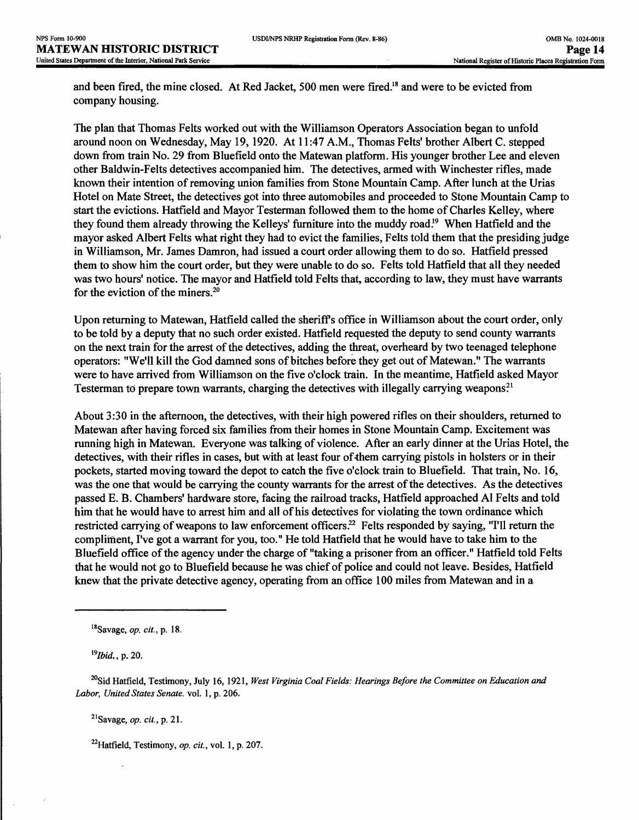and been fired, the mine closed. At Red Jacket, 500 men were fired.18 and were to be evicted from company housing.

The plan that Thomas Felts worked out with the Williamson Operators Association began to unfold around noon on Wednesday, May 19, 1920. At 11:47 A.M., Thomas Felts' brother Albert C. stepped down from train No. 29 from Bluefield onto the Matewan platform. His younger brother Lee and eleven other Baldwin-Felts detectives accompanied him. The detectives, armed with Winchester rifles, made known their intention of removing union families from Stone Mountain Camp. After lunch at the Urias Hotel on Mate Street, the detectives got into three automobiles and proceeded to Stone Mountain Camp to start the evictions. Hatfield and Mayor Testerman followed them to the home of Charles Kelley, where they found them already throwing the Kelleys' furniture into the muddy road.<sup>19</sup> When Hatfield and the mayor asked Albert Felts what right they had to evict the families, Felts told them that the presiding judge in Williamson, Mr. James Damron, had issued a court order allowing them to do so. Hatfield pressed them to show him the court order, but they were unable to do so. Felts told Hatfield that all they needed was two hours' notice. The mayor and Hatfield told Felts that, according to law, they must have warrants for the eviction of the miners.20

Upon returning to Matewan, Hatfield called the sheriffs office in Williamson about the court order, only to be told by a deputy that no such order existed. Hatfield requested the deputy to send county warrants on the next train for the arrest of the detectives, adding the threat, overheard by two teenaged telephone operators: "We'll kill the God damned sons of bitches before they get out of Matewan." The warrants were to have arrived from Williamson on the five o'clock train. In the meantime, Hatfield asked Mayor Testerman to prepare town warrants, charging the detectives with illegally carrying weapons?1

About 3:30 in the afternoon, the detectives, with their high powered rifles on their shoulders, returned to Matewan after having forced six families from their homes in Stone Mountain Camp. Excitement was running high in Matewan. Everyone was talking of violence. After an early dinner at the Urias Hotel, the detectives, with their rifles in cases, but with at least four of them carrying pistols in holsters or in their pockets, started moving toward the depot to catch the five o'clock train to Bluefield. That train, No. 16, was the one that would be carrying the county warrants for the arrest of the detectives. As the detectives passed E. B. Chambers' hardware store, facing the railroad tracks, Hatfield approached Al Felts and told him that he would have to arrest him and all of his detectives for violating the town ordinance which restricted carrying of weapons to law enforcement officers.<sup>22</sup> Felts responded by saying, "I'll return the complifnent, I've got a warrant for you, too." He told Hatfield that he would have to take him to the Bluefield office of the agency under the charge of "taking a prisoner from an officer." Hatfield told Felts that he would not go to Bluefield because he was chief of police and could not leave. Besides, Hatfield knew that the private detective agency, operating from an office 100 miles from Matewan and in a

<sup>19</sup>Ibid., p. 20.

21Savage, *op. cit.,* p. 21.

<sup>22</sup>Hatfield, Testimony, *op. cit.*, vol. 1, p. 207.

<sup>18</sup>Savage, *op. cit.,p.* 18.

<sup>20</sup>Sid Hatfield, Testimony, July 16, 1921, *West Virginia Coal Fields: Hearings Before the Committee on Education and Labor, United States Senate,* vol. 1, p. 206.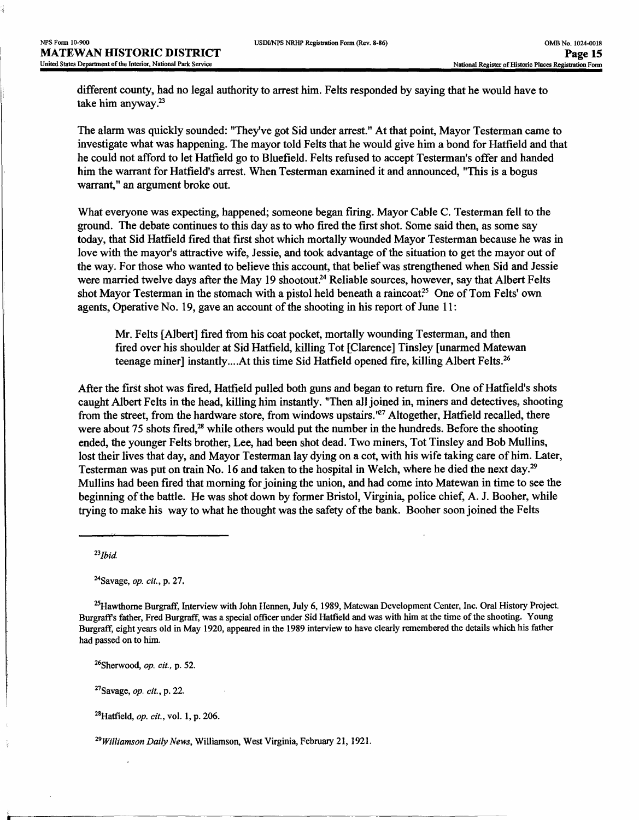different county, had no legal authority to arrest him. Felts responded by saying that he would have to take him anyway.23

The alarm was quickly sounded: "They've got Sid under arrest." At that point, Mayor Testerman came to investigate what was happening. The mayor told Felts that he would give him a bond for Hatfield and that he could not afford to let Hatfield go to Bluefield. Felts refused to accept Testerman's offer and handed him the warrant for Hatfield's arrest. When Testerman examined it and announced, "This is a bogus warrant," an argument broke out.

What everyone was expecting, happened; someone began firing. Mayor Cable C. Testerman fell to the ground. The debate continues to this day as to who fired the first shot. Some said then, as some say today, that Sid Hatfield fired that first shot which mortally wounded Mayor Testerman because he was in love with the mayor's attractive wife, Jessie, and took advantage of the situation to get the mayor out of the way. For those who wanted to believe this account, that belief was strengthened when Sid and Jessie were married twelve days after the May 19 shootout.<sup>24</sup> Reliable sources, however, say that Albert Felts shot Mayor Testerman in the stomach with a pistol held beneath a raincoat.<sup>25</sup> One of Tom Felts' own agents, Operative No. 19, gave an account of the shooting in his report of June 11:

Mr. Felts [Albert] fired from his coat pocket, mortally wounding Testerman, and then fired over his shoulder at Sid Hatfield, killing Tot [Clarence] Tinsley [unarmed Matewan teenage miner] instantly....At this time Sid Hatfield opened fire, killing Albert Felts.<sup>26</sup>

After the first shot was fired, Hatfield pulled both guns and began to return fire. One of Hatfield's shots caught Albert Felts in the head, killing him instantly. "Then all joined in, miners and detectives, shooting from the street, from the hardware store, from windows upstairs.<sup>'67</sup> Altogether, Hatfield recalled, there were about 75 shots fired,<sup>28</sup> while others would put the number in the hundreds. Before the shooting ended, the younger Felts brother, Lee, had been shot dead. Two miners, Tot Tinsley and Bob Mullins, lost their lives that day, and Mayor Testerman lay dying on a cot, with his wife taking care of him. Later, Testerman was put on train No. 16 and taken to the hospital in Welch, where he died the next day.29 Mullins had been fired that morning for joining the union, and had come into Matewan in time to see the beginning of the battle. He was shot down by former Bristol, Virginia, police chief, A. J. Booher, while trying to make his way to what he thought was the safety of the bank. Booher soon joined the Felts

 $^{23}$ *Ibid.* 

^Savage, *op. cit.,* p. 27.

 $^{25}$ Hawthorne Burgraff, Interview with John Hennen, July 6, 1989, Matewan Development Center, Inc. Oral History Project. Burgraff s father, Fred Burgraff, was a special officer under Sid Hatfield and was with him at the time of the shooting. Young Burgraff, eight years old in May 1920, appeared in the 1989 interview to have clearly remembered the details which his father had passed on to him.

26Sherwood, *op. cit.,* p. 52.

27Savage, *op. cit.,* p. 22.

28Hatfield, *op. cit.,* vol. 1, p. 206.

*29Williamson Daily News,* Williamson, West Virginia, February 21, 1921.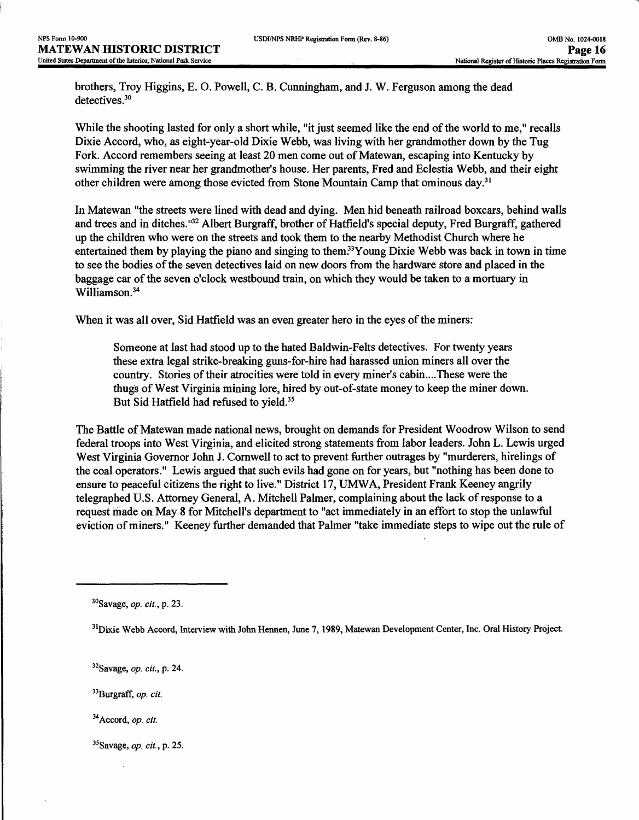brothers, Troy Higgins, E. O. Powell, C. B. Cunningham, and J. W. Ferguson among the dead detectives.<sup>30</sup>

While the shooting lasted for only a short while, "it just seemed like the end of the world to me," recalls Dixie Accord, who, as eight-year-old Dixie Webb, was living with her grandmother down by the Tug Fork. Accord remembers seeing at least 20 men come out of Matewan, escaping into Kentucky by swimming the river near her grandmother's house. Her parents, Fred and Eclestia Webb, and their eight other children were among those evicted from Stone Mountain Camp that ominous day.31

In Matewan "the streets were lined with dead and dying. Men hid beneath railroad boxcars, behind walls and trees and in ditches."32 Albert Burgraff, brother of Hatfield's special deputy, Fred Burgraff, gathered up the children who were on the streets and took them to the nearby Methodist Church where he entertained them by playing the piano and singing to them.<sup>33</sup>Young Dixie Webb was back in town in time to see the bodies of the seven detectives laid on new doors from the hardware store and placed in the baggage car of the seven o'clock westbound train, on which they would be taken to a mortuary in Williamson.<sup>34</sup>

When it was all over, Sid Hatfield was an even greater hero in the eyes of the miners:

Someone at last had stood up to the hated Baldwin-Felts detectives. For twenty years these extra legal strike-breaking guns-for-hire had harassed union miners all over the country. Stories of their atrocities were told in every miner's cabin....These were the thugs of West Virginia mining lore, hired by out-of-state money to keep the miner down. But Sid Hatfield had refused to yield.<sup>35</sup>

The Battle of Matewan made national news, brought on demands for President Woodrow Wilson to send federal troops into West Virginia, and elicited strong statements from labor leaders. John L. Lewis urged West Virginia Governor John J. Cornwell to act to prevent further outrages by "murderers, hirelings of the coal operators." Lewis argued that such evils had gone on for years, but "nothing has been done to ensure to peaceful citizens the right to live." District 17, UMWA, President Frank Keeney angrily telegraphed U.S. Attorney General, A. Mitchell Palmer, complaining about the lack of response to a request made on May 8 for Mitchell's department to "act immediately in an effort to stop the unlawful eviction of miners." Keeney further demanded that Palmer "take immediate steps to wipe out the rule of

<sup>30</sup>Savage, *op. cit.,* p. 23.

<sup>&</sup>lt;sup>31</sup>Dixie Webb Accord, Interview with John Hennen, June 7, 1989, Matewan Development Center, Inc. Oral History Project.

<sup>32</sup>Savage, *op. cit,,* p. 24.

<sup>33</sup>Burgraff, *op. cit.*

<sup>34</sup>Accord, *op. cit.*

<sup>35</sup>Savage, *op. cit.,* p. 25.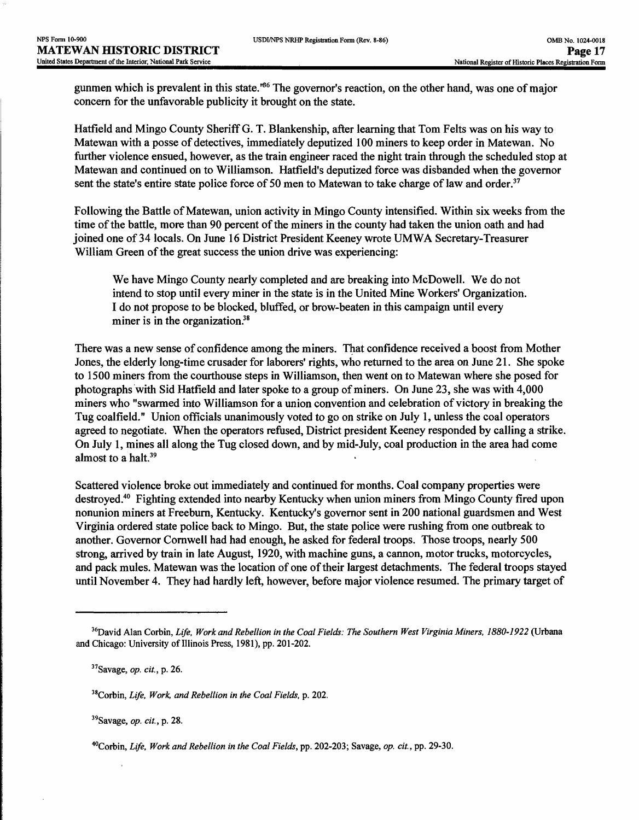gunmen which is prevalent in this state.'66 The governor's reaction, on the other hand, was one of major concern for the unfavorable publicity it brought on the state.

Hatfield and Mingo County Sheriff G. T. Blankenship, after learning that Tom Felts was on his way to Matewan with a posse of detectives, immediately deputized 100 miners to keep order in Matewan. No further violence ensued, however, as the train engineer raced the night train through the scheduled stop at Matewan and continued on to Williamson. Hatfield's deputized force was disbanded when the governor sent the state's entire state police force of 50 men to Matewan to take charge of law and order.<sup>37</sup>

Following the Battle of Matewan, union activity in Mingo County intensified. Within six weeks from the time of the battle, more than 90 percent of the miners in the county had taken the union oath and had joined one of 34 locals. On June 16 District President Keeney wrote UMWA Secretary-Treasurer William Green of the great success the union drive was experiencing:

We have Mingo County nearly completed and are breaking into McDowell, We do not intend to stop until every miner in the state is in the United Mine Workers' Organization. I do not propose to be blocked, bluffed, or brow-beaten in this campaign until every miner is in the organization.<sup>38</sup>

There was a new sense of confidence among the miners. That confidence received a boost from Mother Jones, the elderly long-time crusader for laborers' rights, who returned to the area on June 21. She spoke to 1500 miners from the courthouse steps in Williamson, then went on to Matewan where she posed for photographs with Sid Hatfield and later spoke to a group of miners. On June 23, she was with 4,000 miners who "swarmed into Williamson for a union convention and celebration of victory in breaking the Tug coalfield." Union officials unanimously voted to go on strike on July 1, unless the coal operators agreed to negotiate. When the operators refused, District president Keeney responded by calling a strike. On July 1, mines all along the Tug closed down, and by mid-July, coal production in the area had come almost to a halt.<sup>39</sup>

Scattered violence broke out immediately and continued for months. Coal company properties were destroyed.40 Fighting extended into nearby Kentucky when union miners from Mingo County fired upon nonunion miners at Freeburn, Kentucky. Kentucky's governor sent in 200 national guardsmen and West Virginia ordered state police back to Mingo. But, the state police were rushing from one outbreak to another. Governor Corawell had had enough, he asked for federal troops. Those troops, nearly 500 strong, arrived by train in late August, 1920, with machine guns, a cannon, motor trucks, motorcycles, and pack mules. Matewan was the location of one of their largest detachments. The federal troops stayed until November 4. They had hardly left, however, before major violence resumed. The primary target of

39Savage, *op. cit.,* p. 28.

<sup>36</sup>David Alan Corbin, *Life, Work and Rebellion in the Coal Fields: The Southern West Virginia Miners, 1880-1922* (Urbana and Chicago: University of Illinois Press, 1981), pp. 201-202.

<sup>37</sup>Savage, *op. cit.,* p. 26.

<sup>38</sup>Corbin, *Life, Work, and Rebellion in the Coal Fields,* p. 202.

<sup>40</sup>Corbin, *Life, Work and Rebellion in the Coal Fields,* pp. 202-203; Savage, *op. cit.,* pp. 29-30.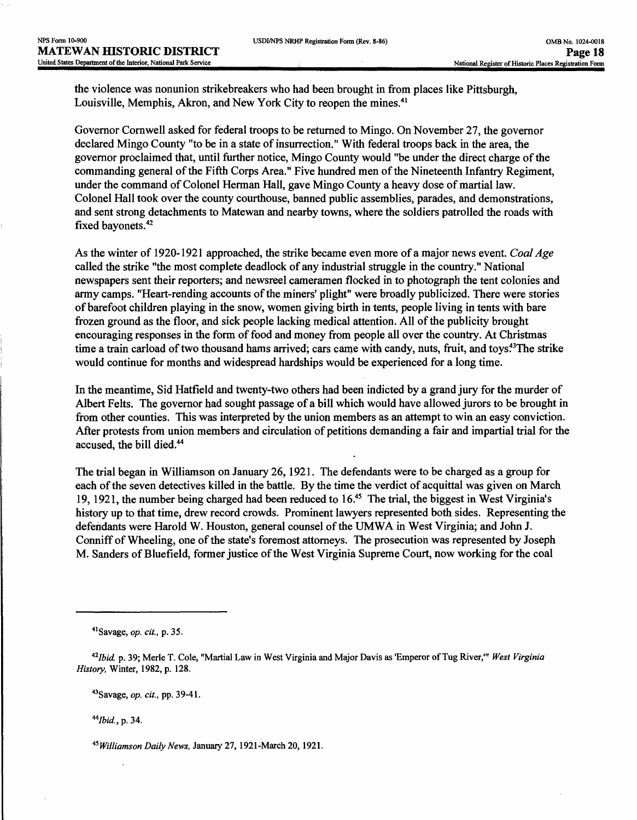the violence was nonunion strikebreakers who had been brought in from places like Pittsburgh, Louisville, Memphis, Akron, and New York City to reopen the mines.<sup>41</sup>

Governor Cornwell asked for federal troops to be returned to Mingo. On November 27, the governor declared Mingo County "to be in a state of insurrection." With federal troops back in the area, the governor proclaimed that, until further notice, Mingo County would "be under the direct charge of the commanding general of the Fifth Corps Area." Five hundred men of the Nineteenth Infantry Regiment, under the command of Colonel Herman Hall, gave Mingo County a heavy dose of martial law. Colonel Hall took over the county courthouse, banned public assemblies, parades, and demonstrations, and sent strong detachments to Matewan and nearby towns, where the soldiers patrolled the roads with fixed bayonets.<sup>42</sup>

As the winter of 1920-1921 approached, the strike became even more of a major news event. *Coal Age*  called the strike "the most complete deadlock of any industrial struggle in the country." National newspapers sent their reporters; and newsreel cameramen flocked in to photograph the tent colonies and army camps. "Heart-rending accounts of the miners' plight" were broadly publicized. There were stories of barefoot children playing in the snow, women giving birth in tents, people living in tents with bare frozen ground as the floor, and sick people lacking medical attention. All of the publicity brought encouraging responses in the form of food and money from people all over the country. At Christmas time a train carload of two thousand hams arrived; cars came with candy, nuts, fruit, and toys<sup>43</sup>The strike would continue for months and widespread hardships would be experienced for a long time.

In the meantime, Sid Hatfield and twenty-two others had been indicted by a grand jury for the murder of Albert Felts. The governor had sought passage of a bill which would have allowed jurors to be brought in from other counties. This was interpreted by the union members as an attempt to win an easy conviction. After protests from union members and circulation of petitions demanding a fair and impartial trial for the accused, the bill died.44

The trial began in Williamson on January 26, 1921. The defendants were to be charged as a group for each of the seven detectives killed in the battle. By the time the verdict of acquittal was given on March 19,1921, the number being charged had been reduced to 16.45 The trial, the biggest in West Virginia's history up to that time, drew record crowds. Prominent lawyers represented both sides. Representing the defendants were Harold W. Houston, general counsel of the UMWA in West Virginia; and John J. Conniff of Wheeling, one of the state's foremost attorneys. The prosecution was represented by Joseph M. Sanders of Bluefield, former justice of the West Virginia Supreme Court, now working for the coal

<sup>43</sup> Savage, *op. cit.,* pp. 39-41.

*"Ibid,* p. 34.

*^Williamson Daily News,* January 27,1921-March 20, 1921.

<sup>4</sup>ISavage, *op. cit.,* p. 35.

*nlbid* p. 39; Merle T. Cole, "Martial Law in West Virginia and Major Davis as 'Emperor of Tug River,'" *West Virginia History,* Winter, 1982, p. 128.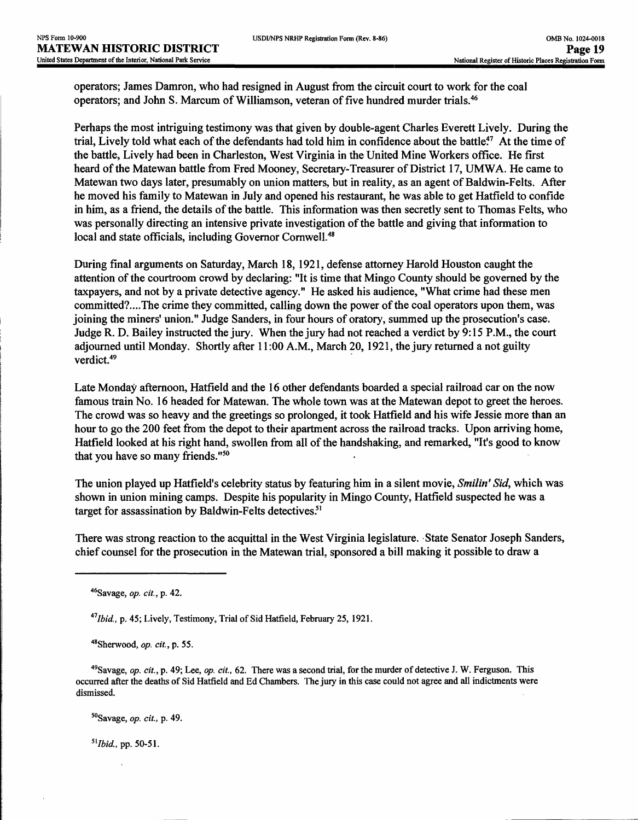operators; James Damron, who had resigned in August from the circuit court to work for the coal operators; and John S. Marcum of Williamson, veteran of five hundred murder trials.46

Perhaps the most intriguing testimony was that given by double-agent Charles Everett Lively. During the trial, Lively told what each of the defendants had told him in confidence about the battle?7 At the time of the battle, Lively had been in Charleston, West Virginia in the United Mine Workers office. He first heard of the Matewan battle from Fred Mooney, Secretary-Treasurer of District 17, UMWA. He came to Matewan two days later, presumably on union matters, but in reality, as an agent of Baldwin-Felts. After he moved his family to Matewan in July and opened his restaurant, he was able to get Hatfield to confide in him, as a friend, the details of the battle. This information was then secretly sent to Thomas Felts, who was personally directing an intensive private investigation of the battle and giving that information to local and state officials, including Governor Cornwell.<sup>48</sup>

During final arguments on Saturday, March 18,1921, defense attorney Harold Houston caught the attention of the courtroom crowd by declaring: "It is time that Mingo County should be governed by the taxpayers, and not by a private detective agency." He asked his audience, "What crime had these men committed?....The crime they committed, calling down the power of the coal operators upon them, was joining the miners' union." Judge Sanders, in four hours of oratory, summed up the prosecution's case. Judge R. D. Bailey instructed the jury. When the jury had not reached a verdict by 9:15 P.M., the court adjourned until Monday. Shortly after 11:00 A.M., March 20, 1921, the jury returned a not guilty verdict.<sup>49</sup>

Late Monday afternoon, Hatfield and the 16 other defendants boarded a special railroad car on the now famous train No. 16 headed for Matewan. The whole town was at the Matewan depot to greet the heroes. The crowd was so heavy and the greetings so prolonged, it took Hatfield and his wife Jessie more than an hour to go the 200 feet from the depot to their apartment across the railroad tracks. Upon arriving home, Hatfield looked at his right hand, swollen from all of the handshaking, and remarked, "It's good to know that you have so many friends."50

The union played up Harfield's celebrity status by featuring him in a silent movie, *Smilin' Sid,* which was shown in union mining camps. Despite his popularity in Mingo County, Hatfield suspected he was a target for assassination by Baldwin-Felts detectives.<sup>51</sup>

There was strong reaction to the acquittal in the West Virginia legislature. State Senator Joseph Sanders, chief counsel for the prosecution in the Matewan trial, sponsored a bill making it possible to draw a

*'"ibid.,* p. 45; Lively, Testimony, Trial of Sid Hatfield, February 25, 1921.

48Sherwood, *op. cit.,* p. 55.

49Savage, *op. cit.,* p. 49; Lee, *op. cit.,* 62. There was a second trial, for the murder of detective J. W. Ferguson. This occurred after the deaths of Sid Hatfield and Ed Chambers. The jury in this case could not agree and all indictments were dismissed.

50Savage, *op. cit.,* p. 49.

*5llbid,* pp. 50-51.

<sup>46</sup>Savage, *op. cit.,* p. 42.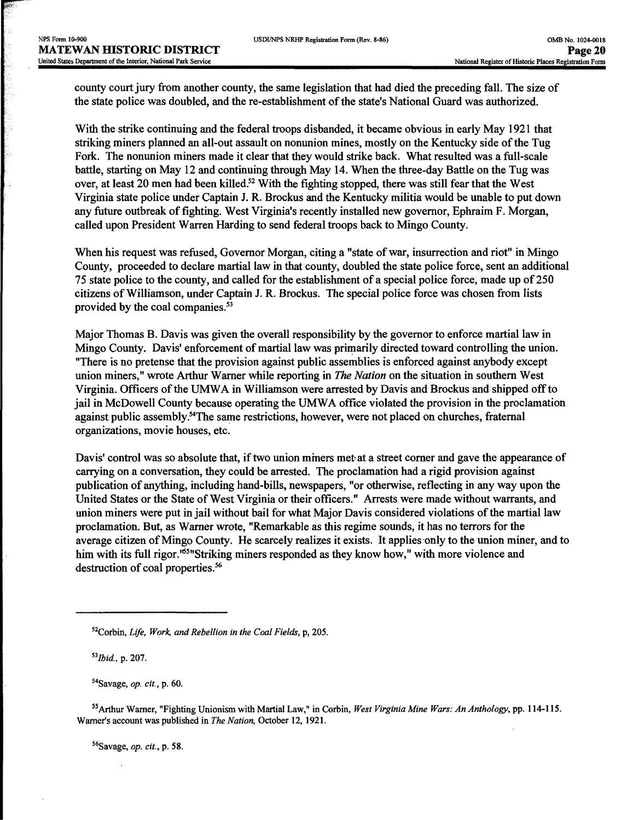county court jury from another county, the same legislation that had died the preceding fall. The size of the state police was doubled, and the re-establishment of the state's National Guard was authorized.

With the strike continuing and the federal troops disbanded, it became obvious in early May 1921 that striking miners planned an all-out assault on nonunion mines, mostly on the Kentucky side of the Tug Fork. The nonunion miners made it clear that they would strike back. What resulted was a full-scale battle, starting on May 12 and continuing through May 14. When the three-day Battle on the Tug was over, at least 20 men had been killed.<sup>52</sup> With the fighting stopped, there was still fear that the West Virginia state police under Captain J. R. Brockus and the Kentucky militia would be unable to put down any future outbreak of fighting. West Virginia's recently installed new governor, Ephraim F. Morgan, called upon President Warren Harding to send federal troops back to Mingo County.

When his request was refused, Governor Morgan, citing a "state of war, insurrection and riot" in Mingo County, proceeded to declare martial law in that county, doubled the state police force, sent an additional 75 state police to the county, and called for the establishment of a special police force, made up of 250 citizens of Williamson, under Captain J. R. Brockus. The special police force was chosen from lists provided by the coal companies.<sup>53</sup>

Major Thomas B. Davis was given the overall responsibility by the governor to enforce martial law in Mingo County. Davis' enforcement of martial law was primarily directed toward controlling the union. "There is no pretense that the provision against public assemblies is enforced against anybody except union miners," wrote Arthur Warner while reporting in *The Nation* on the situation in southern West Virginia. Officers of the UMWA in Williamson were arrested by Davis and Brockus and shipped off to jail in McDowell County because operating the UMWA office violated the provision in the proclamation against public assembly.54The same restrictions, however, were not placed on churches, fraternal organizations, movie houses, etc.

Davis' control was so absolute that, if two union miners met at a street corner and gave the appearance of carrying on a conversation, they could be arrested. The proclamation had a rigid provision against publication of anything, including hand-bills, newspapers, "or otherwise, reflecting in any way upon the United States or the State of West Virginia or their officers." Arrests were made without warrants, and union miners were put in jail without bail for what Major Davis considered violations of the martial law proclamation. But, as Warner wrote, "Remarkable as this regime sounds, it has no terrors for the average citizen of Mingo County. He scarcely realizes it exists. It applies only to the union miner, and to him with its full rigor.<sup>165</sup> Striking miners responded as they know how," with more violence and destruction of coal properties.<sup>56</sup>

54Savage, *op. cit.,* p. 60.

55Arthur Warner, "Fighting Unionism with Martial Law," in Corbin, *West Virginia Mine Wars: An Anthology,* pp. 114-115. Warner's account was published in *The Nation,* October 12, 1921.

56Savage, *op. cit.,* p. 58.

S2Corbin, *Life, Work, and Rebellion in the Coal Fields,* p, 205.

*<sup>\*</sup>Ibid.,* p. 207.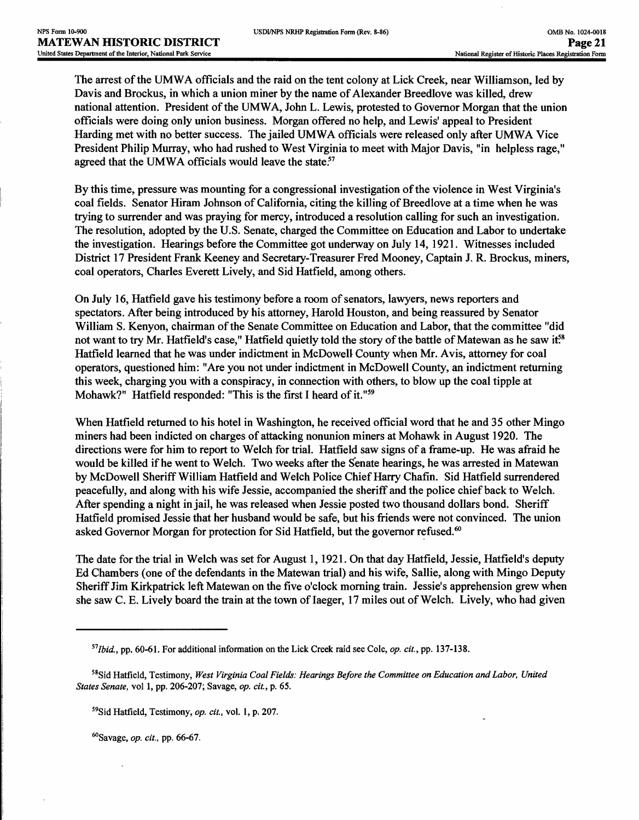The arrest of the UMWA officials and the raid on the tent colony at Lick Creek, near Williamson, led by Davis and Brockus, in which a union miner by the name of Alexander Breedlove was killed, drew national attention. President of the UMWA, John L. Lewis, protested to Governor Morgan that the union officials were doing only union business. Morgan offered no help, and Lewis\* appeal to President Harding met with no better success. The jailed UMWA officials were released only after UMWA Vice President Philip Murray, who had rushed to West Virginia to meet with Major Davis, "in helpless rage," agreed that the UMWA officials would leave the state.<sup>57</sup>

By this time, pressure was mounting for a congressional investigation of the violence in West Virginia's coal fields. Senator Hiram Johnson of California, citing the killing of Breedlove at a time when he was trying to surrender and was praying for mercy, introduced a resolution calling for such an investigation. The resolution, adopted by the U.S. Senate, charged the Committee on Education and Labor to undertake the investigation. Hearings before the Committee got underway on July 14, 1921. Witnesses included District 17 President Frank Keeney and Secretary-Treasurer Fred Mooney, Captain J. R. Brockus, miners, coal operators, Charles Everett Lively, and Sid Hatfield, among others.

On July 16, Hatfield gave his testimony before a room of senators, lawyers, news reporters and spectators. After being introduced by his attorney, Harold Houston, and being reassured by Senator William S. Kenyon, chairman of the Senate Committee on Education and Labor, that the committee "did not want to try Mr. Hatfield's case," Hatfield quietly told the story of the battle of Matewan as he saw it?<sup>8</sup> Hatfield learned that he was under indictment in McDowell County when Mr. Avis, attorney for coal operators, questioned him: "Are you not under indictment in McDowell County, an indictment returning this week, charging you with a conspiracy, in connection with others, to blow up the coal tipple at Mohawk?" Hatfield responded: "This is the first I heard of it."<sup>59</sup>

When Hatfield returned to his hotel in Washington, he received official word that he and 35 other Mingo miners had been indicted on charges of attacking nonunion miners at Mohawk in August 1920. The directions were for him to report to Welch for trial. Hatfield saw signs of a frame-up. He was afraid he would be killed if he went to Welch. Two weeks after the Senate hearings, he was arrested in Matewan by McDowell Sheriff William Hatfield and Welch Police Chief Harry Chafin. Sid Hatfield surrendered peacefully, and along with his wife Jessie, accompanied the sheriff and the police chief back to Welch. After spending a night in jail, he was released when Jessie posted two thousand dollars bond. Sheriff Hatfield promised Jessie that her husband would be safe, but his friends were not convinced. The union asked Governor Morgan for protection for Sid Hatfield, but the governor refused.<sup>60</sup>

The date for the trial in Welch was set for August 1,1921. On that day Hatfield, Jessie, Hatfield's deputy Ed Chambers (one of the defendants in the Matewan trial) and his wife, Sallie, along with Mingo Deputy Sheriff Jim Kirkpatrick left Matewan on the five o'clock morning train. Jessie's apprehension grew when she saw C. E. Lively board the train at the town of laeger, 17 miles out of Welch. Lively, who had given

^Savage, *op. cit.,* pp. 66-67.

*<sup>51</sup>Ibid. }* pp. 60-61. For additional information on the Lick Creek raid see Cole, *op. cit.,* pp. 137-138.

<sup>58</sup>Sid Hatfield, Testimony, *West Virginia Coal Fields: Hearings Before the Committee on Education and Labor, United States Senate,* vol 1, pp. 206-207; Savage, *op. cit,,* p. 65.

S9Sid Hatfield, Testimony, *op. cit.,* vol. 1, p. 207.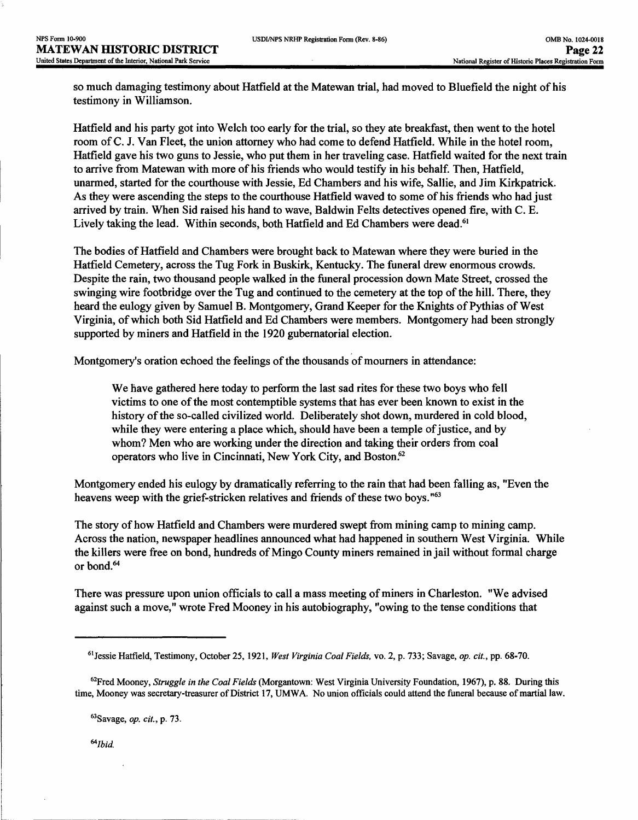so much damaging testimony about Hatfield at the Matewan trial, had moved to Bluefield the night of his testimony in Williamson.

Hatfield and his party got into Welch too early for the trial, so they ate breakfast, then went to the hotel room of C. J. Van Fleet, the union attorney who had come to defend Hatfield. While in the hotel room, Hatfield gave his two guns to Jessie, who put them in her traveling case. Hatfield waited for the next train to arrive from Matewan with more of his friends who would testify in his behalf. Then, Hatfield, unarmed, started for the courthouse with Jessie, Ed Chambers and his wife, Sallie, and Jim Kirkpatrick. As they were ascending the steps to the courthouse Hatfield waved to some of his friends who had just arrived by train. When Sid raised his hand to wave, Baldwin Felts detectives opened fire, with C. E. Lively taking the lead. Within seconds, both Hatfield and Ed Chambers were dead.<sup>61</sup>

The bodies of Hatfield and Chambers were brought back to Matewan where they were buried in the Hatfield Cemetery, across the Tug Fork in Buskirk, Kentucky. The funeral drew enormous crowds. Despite the rain, two thousand people walked in the funeral procession down Mate Street, crossed the swinging wire footbridge over the Tug and continued to the cemetery at the top of the hill. There, they heard the eulogy given by Samuel B. Montgomery, Grand Keeper for the Knights of Pythias of West Virginia, of which both Sid Hatfield and Ed Chambers were members. Montgomery had been strongly supported by miners and Hatfield in the 1920 gubernatorial election.

Montgomery's oration echoed the feelings of the thousands of mourners in attendance:

We have gathered here today to perform the last sad rites for these two boys who fell victims to one of the most contemptible systems that has ever been known to exist in the history of the so-called civilized world. Deliberately shot down, murdered in cold blood, while they were entering a place which, should have been a temple of justice, and by whom? Men who are working under the direction and taking their orders from coal operators who live in Cincinnati, New York City, and Boston.<sup>62</sup>

Montgomery ended his eulogy by dramatically referring to the rain that had been falling as, "Even the heavens weep with the grief-stricken relatives and friends of these two boys.<sup>"63</sup>

The story of how Hatfield and Chambers were murdered swept from mining camp to mining camp. Across the nation, newspaper headlines announced what had happened in southern West Virginia. While the killers were free on bond, hundreds of Mingo County miners remained in jail without formal charge or bond.<sup>64</sup>

There was pressure upon union officials to call a mass meeting of miners in Charleston. "We advised against such a move," wrote Fred Mooney in his autobiography, "owing to the tense conditions that

62Fred Mooney, *Struggle in the Coal Fields* (Morgantown: West Virginia University Foundation, 1967), p. 88. During this time, Mooney was secretary-treasurer of District 17, UMWA. No union officials could attend the funeral because of martial law.

63Savage, *op. cit.,* p. 73.

<sup>64</sup>*Ibid.* 

<sup>61</sup> Jessie Hatfield, Testimony, October 25,1921, *West Virginia Coal Fields,* vo. 2, p. 733; Savage, *op. cit.,* pp. 68-70.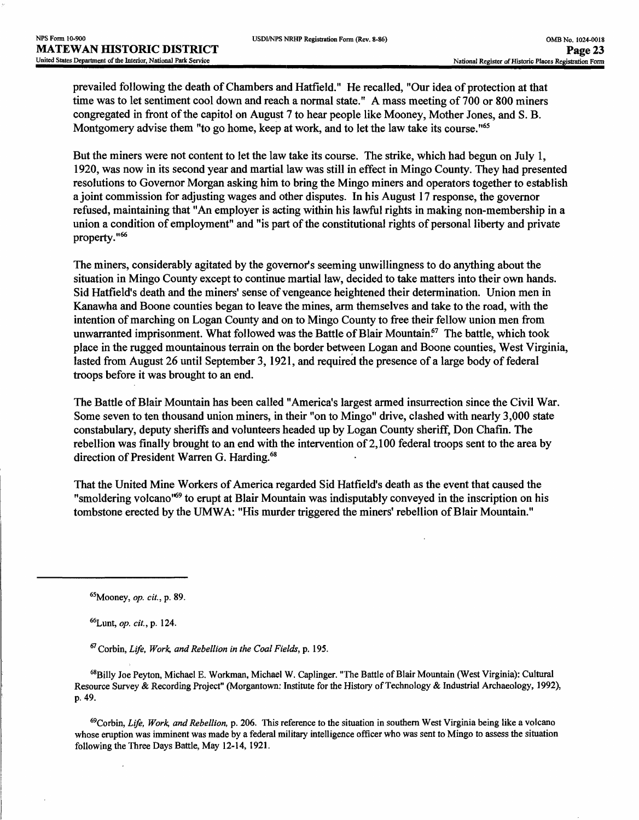prevailed following the death of Chambers and Hatfield." He recalled, "Our idea of protection at that time was to let sentiment cool down and reach a normal state." A mass meeting of 700 or 800 miners congregated in front of the capitol on August 7 to hear people like Mooney, Mother Jones, and S. B. Montgomery advise them "to go home, keep at work, and to let the law take its course."<sup>65</sup>

But the miners were not content to let the law take its course. The strike, which had begun on July 1, 1920, was now in its second year and martial law was still in effect in Mingo County. They had presented resolutions to Governor Morgan asking him to bring the Mingo miners and operators together to establish a joint commission for adjusting wages and other disputes. In his August 17 response, the governor refused, maintaining that "An employer is acting within his lawful rights in making non-membership in a union a condition of employment" and "is part of the constitutional rights of personal liberty and private property."66

The miners, considerably agitated by the governor's seeming unwillingness to do anything about the situation in Mingo County except to continue martial law, decided to take matters into their own hands. Sid Hatfield's death and the miners' sense of vengeance heightened their determination. Union men in Kanawha and Boone counties began to leave the mines, arm themselves and take to the road, with the intention of marching on Logan County and on to Mingo County to free their fellow union men from unwarranted imprisonment. What followed was the Battle of Blair Mountain.<sup>67</sup> The battle, which took place in the rugged mountainous terrain on the border between Logan and Boone counties, West Virginia, lasted from August 26 until September 3, 1921, and required the presence of a large body of federal troops before it was brought to an end.

The Battle of Blair Mountain has been called "America's largest armed insurrection since the Civil War. Some seven to ten thousand union miners, in their "on to Mingo" drive, clashed with nearly 3,000 state constabulary, deputy sheriffs and volunteers headed up by Logan County sheriff, Don Chafin. The rebellion was finally brought to an end with the intervention of 2,100 federal troops sent to the area by direction of President Warren G. Harding.<sup>68</sup>

That the United Mine Workers of America regarded Sid Hatfield's death as the event that caused the "smoldering volcano"69 to erupt at Blair Mountain was indisputably conveyed in the inscription on his tombstone erected by the UMWA: "His murder triggered the miners' rebellion of Blair Mountain."

69Corbin, *Life, Work, and Rebellion,* p. 206. This reference to the situation in southern West Virginia being like a volcano whose eruption was imminent was made by a federal military intelligence officer who was sent to Mingo to assess the situation following the Three Days Battle, May 12-14, 1921.

<sup>65</sup>Mooney, *op. cit.,* p. 89.

<sup>66</sup>Lunt, *op. cit.,* p. 124.

<sup>67</sup> Corbin, *Life, Work, and Rebellion in the Coal Fields,* p. 195.

<sup>68</sup>Billy Joe Peyton, Michael E. Workman, Michael W. Caplinger. "The Battle of Blair Mountain (West Virginia): Cultural Resource Survey & Recording Project" (Morgantown: Institute for the History of Technology & Industrial Archaeology, 1992), p. 49.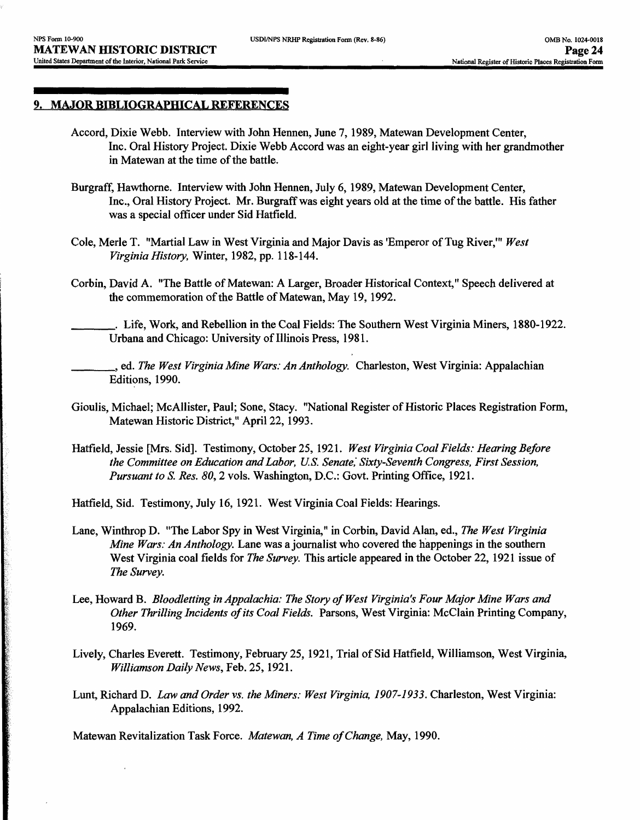#### **9. MAJOR BIBLIOGRAPHICAL REFERENCES**

- Accord, Dixie Webb. Interview with John Hennen, June 7,1989, Matewan Development Center, Inc. Oral History Project. Dixie Webb Accord was an eight-year girl living with her grandmother in Matewan at the time of the battle.
- Burgraff, Hawthorne. Interview with John Hennen, July 6, 1989, Matewan Development Center, Inc., Oral History Project. Mr. Burgraff was eight years old at the time of the battle. His father was a special officer under Sid Hatfield.
- Cole, Merle T. "Martial Law in West Virginia and Major Davis as 'Emperor of Tug River,'" *West Virginia History,* Winter, 1982, pp. 118-144.
- Corbin, David A. "The Battle of Matewan: A Larger, Broader Historical Context," Speech delivered at the commemoration of the Battle of Matewan, May 19, 1992.
- \_\_\_\_\_. Life, Work, and Rebellion in the Coal Fields: The Southern West Virginia Miners, 1880-1922. Urbana and Chicago: University of Illinois Press, 1981.
	- \_\_\_\_\_, ed. *The West Virginia Mine Wars: An Anthology.* Charleston, West Virginia: Appalachian Editions, 1990.
- Gioulis, Michael; McAllister, Paul; Sone, Stacy. "National Register of Historic Places Registration Form, Matewan Historic District," April 22,1993.
- Hatfield, Jessie [Mrs. Sid]. Testimony, October 25, 1921. *West Virginia Coal Fields: Hearing Before the Committee on Education and Labor, U.S. Senate,' Sixty-Seventh Congress, First Session, Pursuant to S. Res. 80, 2* vols. Washington, D.C.: Govt. Printing Office, 1921.
- Hatfield, Sid. Testimony, July 16, 1921. West Virginia Coal Fields: Hearings.
- Lane, Winthrop D. "The Labor Spy in West Virginia," in Corbin, David Alan, ed., *The West Virginia Mine Wars: An Anthology.* Lane was a journalist who covered the happenings in the southern West Virginia coal fields for *The Survey.* This article appeared in the October 22, 1921 issue of *The Survey.*
- Lee, Howard B. *Bloodletting in Appalachia: The Story of West Virginia's Four Major Mine Wars and Other Thrilling Incidents of its Coal Fields.* Parsons, West Virginia: McClain Printing Company, 1969.
- Lively, Charles Everett. Testimony, February 25,1921, Trial of Sid Hatfield, Williamson, West Virginia, *Williamson Daily News,* Feb. 25,1921.
- Lunt, Richard D. *Law and Order vs. the Miners: West Virginia, 1907-1933.* Charleston, West Virginia: Appalachian Editions, 1992.

Matewan Revitalization Task Force. *Matewan, A Time of Change,* May, 1990.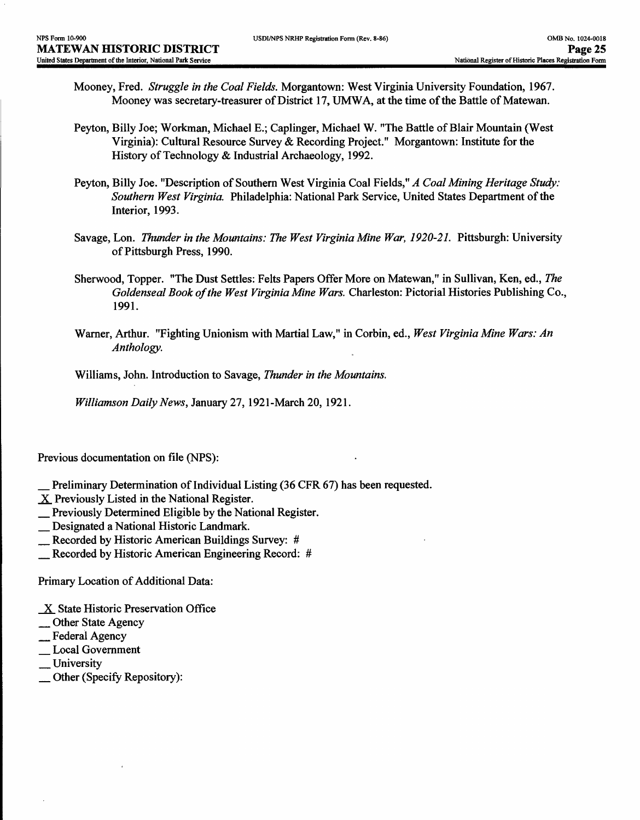- Mooney, Fred. *Struggle in the Coal Fields.* Morgantown: West Virginia University Foundation, 1967. Mooney was secretary-treasurer of District 17, UMWA, at the time of the Battle of Matewan.
- Peyton, Billy Joe; Workman, Michael E.; Caplinger, Michael W. "The Battle of Blair Mountain (West Virginia): Cultural Resource Survey & Recording Project." Morgantown: Institute for the History of Technology & Industrial Archaeology, 1992.
- Peyton, Billy Joe. "Description of Southern West Virginia Coal Fields," *A Coal Mining Heritage Study: Southern West Virginia.* Philadelphia: National Park Service, United States Department of the Interior, 1993.
- Savage, Lon. *Thunder in the Mountains: The West Virginia Mine War, 1920-21*. Pittsburgh: University of Pittsburgh Press, 1990.
- Sherwood, Topper. "The Dust Settles: Felts Papers Offer More on Matewan," in Sullivan, Ken, ed., *The Goldenseal Book of the West Virginia Mine Wars.* Charleston: Pictorial Histories Publishing Co., 1991.
- Warner, Arthur. "Fighting Unionism with Martial Law," in Corbin, ed., *West Virginia Mine Wars: An Anthology.*

Williams, John. Introduction to Savage, *Thunder in the Mountains.* 

*Williamson Daily News,* January 27, 1921-March 20, 1921.

Previous documentation on file (NPS):

- Preliminary Determination of Individual Listing (36 CFR 67) has been requested.
- X Previously Listed in the National Register.
- \_ Previously Determined Eligible by the National Register.
- \_ Designated a National Historic Landmark.
- \_ Recorded by Historic American Buildings Survey: #
- \_ Recorded by Historic American Engineering Record: #

Primary Location of Additional Data:

- $X$  State Historic Preservation Office
- \_ Other State Agency
- \_ Federal Agency
- \_ Local Government
- \_ University
- \_ Other (Specify Repository):